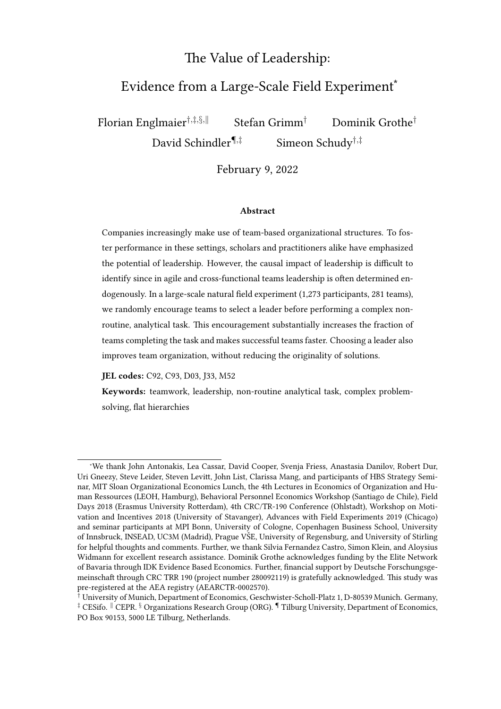## The Value of Leadership:

# Evidence from a Large-Scale Field Experiment<sup>\*</sup>

Florian Englmaier<sup>†,‡,§,||</sup> Stefan Grimm<sup>†</sup> Dominik Grothe<sup>†</sup>

David Schindler¶*,*‡ Simeon Schudy†*,*‡

February 9, 2022

#### Abstract

Companies increasingly make use of team-based organizational structures. To foster performance in these settings, scholars and practitioners alike have emphasized the potential of leadership. However, the causal impact of leadership is difficult to identify since in agile and cross-functional teams leadership is often determined endogenously. In a large-scale natural field experiment  $(1,273$  participants, 281 teams), we randomly encourage teams to select a leader before performing a complex nonroutine, analytical task. This encouragement substantially increases the fraction of teams completing the task and makes successful teams faster. Choosing a leader also improves team organization, without reducing the originality of solutions.

JEL codes: C92, C93, D03, J33, M52

Keywords: teamwork, leadership, non-routine analytical task, complex problemsolving, flat hierarchies

<sup>∗</sup>We thank John Antonakis, Lea Cassar, David Cooper, Svenja Friess, Anastasia Danilov, Robert Dur, Uri Gneezy, Steve Leider, Steven Levitt, John List, Clarissa Mang, and participants of HBS Strategy Seminar, MIT Sloan Organizational Economics Lunch, the 4th Lectures in Economics of Organization and Human Ressources (LEOH, Hamburg), Behavioral Personnel Economics Workshop (Santiago de Chile), Field Days 2018 (Erasmus University Rotterdam), 4th CRC/TR-190 Conference (Ohlstadt), Workshop on Motivation and Incentives 2018 (University of Stavanger), Advances with Field Experiments 2019 (Chicago) and seminar participants at MPI Bonn, University of Cologne, Copenhagen Business School, University of Innsbruck, INSEAD, UC3M (Madrid), Prague VŠE, University of Regensburg, and University of Stirling for helpful thoughts and comments. Further, we thank Silvia Fernandez Castro, Simon Klein, and Aloysius Widmann for excellent research assistance. Dominik Grothe acknowledges funding by the Elite Network of Bavaria through IDK Evidence Based Economics. Further, financial support by Deutsche Forschungsgemeinschaft through CRC TRR 190 (project number 280092119) is gratefully acknowledged. This study was pre-registered at the AEA registry (AEARCTR-0002570).

<sup>†</sup> University of Munich, Department of Economics, Geschwister-Scholl-Platz 1, D-80539 Munich. Germany, <sup>‡</sup> CESifo.  $\parallel$  CEPR. § Organizations Research Group (ORG).  $\P$  Tilburg University, Department of Economics, PO Box 90153, 5000 LE Tilburg, Netherlands.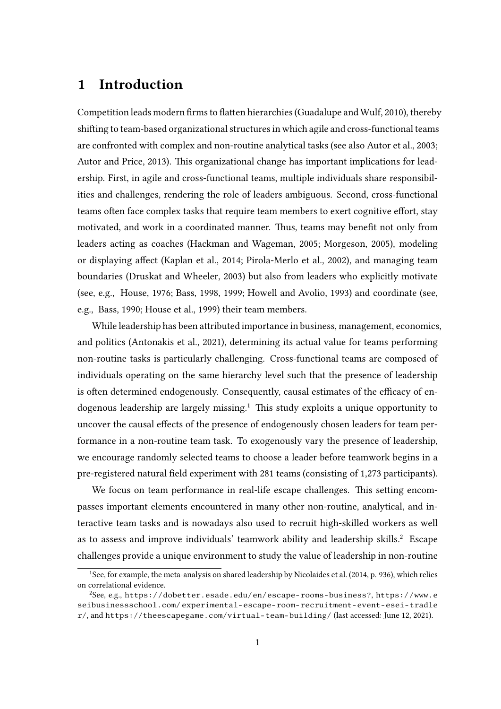# 1 Introduction

Competition leads modern firms to flatten hierarchies [\(Guadalupe and Wulf, 2010\)](#page-22-0), thereby shifting to team-based organizational structures in which agile and cross-functional teams are confronted with complex and non-routine analytical tasks (see also [Autor et al., 2003;](#page-20-0) [Autor and Price, 2013\)](#page-20-1). This organizational change has important implications for leadership. First, in agile and cross-functional teams, multiple individuals share responsibilities and challenges, rendering the role of leaders ambiguous. Second, cross-functional teams often face complex tasks that require team members to exert cognitive effort, stay motivated, and work in a coordinated manner. Thus, teams may benefit not only from leaders acting as coaches [\(Hackman and Wageman, 2005;](#page-22-1) [Morgeson, 2005\)](#page-23-0), modeling or displaying affect [\(Kaplan et al., 2014;](#page-22-2) [Pirola-Merlo et al., 2002\)](#page-23-1), and managing team boundaries [\(Druskat and Wheeler, 2003\)](#page-21-0) but also from leaders who explicitly motivate (see, e.g., [House, 1976;](#page-22-3) [Bass, 1998,](#page-20-2) [1999;](#page-20-3) [Howell and Avolio, 1993\)](#page-22-4) and coordinate (see, e.g., [Bass, 1990;](#page-20-4) [House et al., 1999\)](#page-22-5) their team members.

While leadership has been attributed importance in business, management, economics, and politics [\(Antonakis et al., 2021\)](#page-20-5), determining its actual value for teams performing non-routine tasks is particularly challenging. Cross-functional teams are composed of individuals operating on the same hierarchy level such that the presence of leadership is often determined endogenously. Consequently, causal estimates of the efficacy of en-dogenous leadership are largely missing.<sup>[1](#page-1-0)</sup> This study exploits a unique opportunity to uncover the causal effects of the presence of endogenously chosen leaders for team performance in a non-routine team task. To exogenously vary the presence of leadership, we encourage randomly selected teams to choose a leader before teamwork begins in a pre-registered natural field experiment with 281 teams (consisting of 1,273 participants).

We focus on team performance in real-life escape challenges. This setting encompasses important elements encountered in many other non-routine, analytical, and interactive team tasks and is nowadays also used to recruit high-skilled workers as well as to assess and improve individuals' teamwork ability and leadership skills.[2](#page-1-1) Escape challenges provide a unique environment to study the value of leadership in non-routine

<span id="page-1-0"></span><sup>&</sup>lt;sup>1</sup>See, for example, the meta-analysis on shared leadership by [Nicolaides et al.](#page-23-2) [\(2014,](#page-23-2) p. 936), which relies on correlational evidence.

<span id="page-1-1"></span> $^{2}$ See, e.g., <https://dobetter.esade.edu/en/escape-rooms-business?>, [https://www.e](https://www.eseibusinessschool.com/experimental-escape-room-recruitment-event-esei-tradler/) [seibusinessschool.com/ experimental-escape-room-recruitment-event-esei-tradle](https://www.eseibusinessschool.com/experimental-escape-room-recruitment-event-esei-tradler/) [r/](https://www.eseibusinessschool.com/experimental-escape-room-recruitment-event-esei-tradler/), and <https://theescapegame.com/virtual-team-building/> (last accessed: June 12, 2021).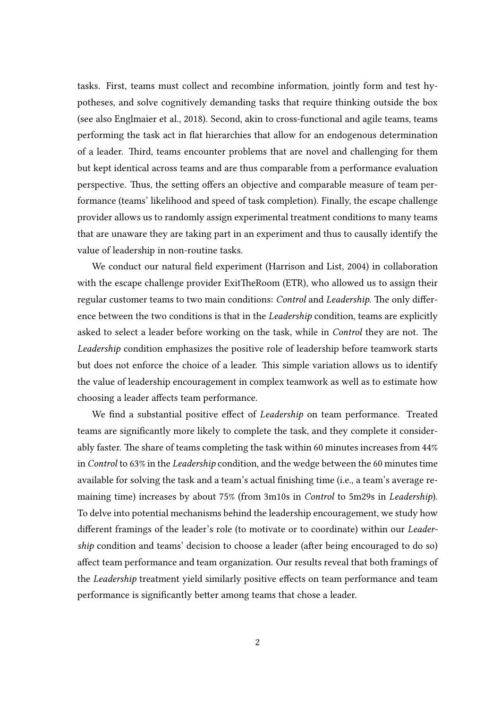tasks. First, teams must collect and recombine information, jointly form and test hypotheses, and solve cognitively demanding tasks that require thinking outside the box (see also [Englmaier et al., 2018\)](#page-21-1). Second, akin to cross-functional and agile teams, teams performing the task act in flat hierarchies that allow for an endogenous determination of a leader. Third, teams encounter problems that are novel and challenging for them but kept identical across teams and are thus comparable from a performance evaluation perspective. Thus, the setting offers an objective and comparable measure of team performance (teams' likelihood and speed of task completion). Finally, the escape challenge provider allows us to randomly assign experimental treatment conditions to many teams that are unaware they are taking part in an experiment and thus to causally identify the value of leadership in non-routine tasks.

We conduct our natural field experiment [\(Harrison and List, 2004\)](#page-22-6) in collaboration with the escape challenge provider ExitTheRoom (ETR), who allowed us to assign their regular customer teams to two main conditions: Control and Leadership. The only difference between the two conditions is that in the Leadership condition, teams are explicitly asked to select a leader before working on the task, while in *Control* they are not. The Leadership condition emphasizes the positive role of leadership before teamwork starts but does not enforce the choice of a leader. This simple variation allows us to identify the value of leadership encouragement in complex teamwork as well as to estimate how choosing a leader affects team performance.

We find a substantial positive effect of *Leadership* on team performance. Treated teams are signicantly more likely to complete the task, and they complete it considerably faster. The share of teams completing the task within 60 minutes increases from 44% in Control to 63% in the Leadership condition, and the wedge between the 60 minutes time available for solving the task and a team's actual finishing time (i.e., a team's average remaining time) increases by about 75% (from 3m10s in Control to 5m29s in Leadership). To delve into potential mechanisms behind the leadership encouragement, we study how different framings of the leader's role (to motivate or to coordinate) within our Leadership condition and teams' decision to choose a leader (after being encouraged to do so) affect team performance and team organization. Our results reveal that both framings of the *Leadership* treatment yield similarly positive effects on team performance and team performance is significantly better among teams that chose a leader.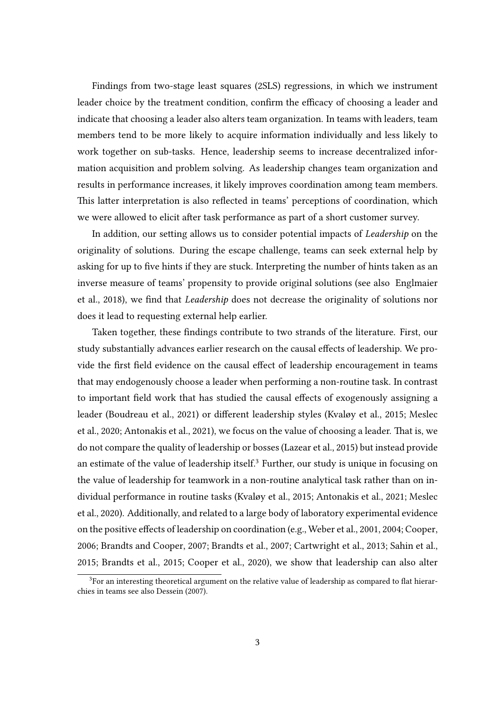Findings from two-stage least squares (2SLS) regressions, in which we instrument leader choice by the treatment condition, confirm the efficacy of choosing a leader and indicate that choosing a leader also alters team organization. In teams with leaders, team members tend to be more likely to acquire information individually and less likely to work together on sub-tasks. Hence, leadership seems to increase decentralized information acquisition and problem solving. As leadership changes team organization and results in performance increases, it likely improves coordination among team members. This latter interpretation is also reflected in teams' perceptions of coordination, which we were allowed to elicit after task performance as part of a short customer survey.

In addition, our setting allows us to consider potential impacts of *Leadership* on the originality of solutions. During the escape challenge, teams can seek external help by asking for up to five hints if they are stuck. Interpreting the number of hints taken as an inverse measure of teams' propensity to provide original solutions (see also [Englmaier](#page-21-1) [et al., 2018\)](#page-21-1), we find that *Leadership* does not decrease the originality of solutions nor does it lead to requesting external help earlier.

Taken together, these findings contribute to two strands of the literature. First, our study substantially advances earlier research on the causal effects of leadership. We provide the first field evidence on the causal effect of leadership encouragement in teams that may endogenously choose a leader when performing a non-routine task. In contrast to important field work that has studied the causal effects of exogenously assigning a leader [\(Boudreau et al., 2021\)](#page-20-6) or different leadership styles [\(Kvaløy et al., 2015;](#page-22-7) [Meslec](#page-23-3) [et al., 2020;](#page-23-3) [Antonakis et al., 2021\)](#page-20-5), we focus on the value of choosing a leader. That is, we do not compare the quality of leadership or bosses [\(Lazear et al., 2015\)](#page-23-4) but instead provide an estimate of the value of leadership itself.<sup>[3](#page-3-0)</sup> Further, our study is unique in focusing on the value of leadership for teamwork in a non-routine analytical task rather than on individual performance in routine tasks [\(Kvaløy et al., 2015;](#page-22-7) [Antonakis et al., 2021;](#page-20-5) [Meslec](#page-23-3) [et al., 2020\)](#page-23-3). Additionally, and related to a large body of laboratory experimental evidence on the positive effects of leadership on coordination (e.g., [Weber et al., 2001,](#page-23-5) [2004;](#page-24-0) [Cooper,](#page-21-2) [2006;](#page-21-2) [Brandts and Cooper, 2007;](#page-20-7) [Brandts et al., 2007;](#page-20-8) [Cartwright et al., 2013;](#page-21-3) [Sahin et al.,](#page-23-6) [2015;](#page-23-6) [Brandts et al., 2015;](#page-21-4) [Cooper et al., 2020\)](#page-21-5), we show that leadership can also alter

<span id="page-3-0"></span> $3$ For an interesting theoretical argument on the relative value of leadership as compared to flat hierarchies in teams see also [Dessein](#page-21-6) [\(2007\)](#page-21-6).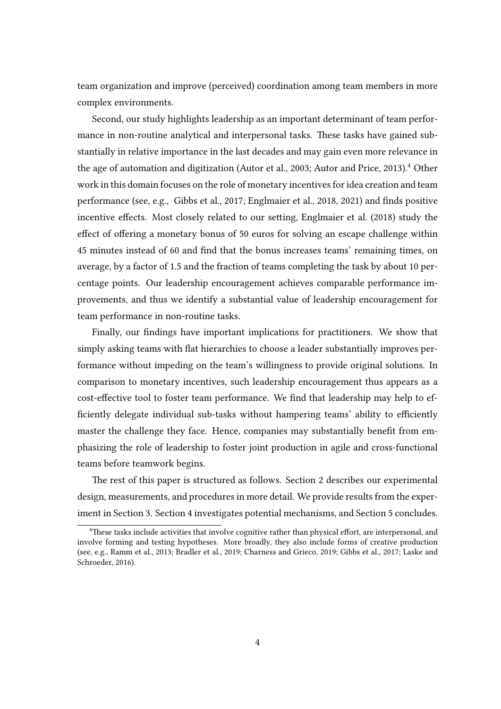team organization and improve (perceived) coordination among team members in more complex environments.

Second, our study highlights leadership as an important determinant of team performance in non-routine analytical and interpersonal tasks. These tasks have gained substantially in relative importance in the last decades and may gain even more relevance in the age of automation and digitization [\(Autor et al., 2003;](#page-20-0) [Autor and Price, 2013\)](#page-20-1).<sup>[4](#page-4-0)</sup> Other work in this domain focuses on the role of monetary incentives for idea creation and team performance (see, e.g., [Gibbs et al., 2017;](#page-22-8) [Englmaier et al., 2018,](#page-21-1) [2021\)](#page-21-7) and finds positive incentive effects. Most closely related to our setting, [Englmaier et al.](#page-21-1) [\(2018\)](#page-21-1) study the effect of offering a monetary bonus of 50 euros for solving an escape challenge within 45 minutes instead of 60 and find that the bonus increases teams' remaining times, on average, by a factor of 1.5 and the fraction of teams completing the task by about 10 percentage points. Our leadership encouragement achieves comparable performance improvements, and thus we identify a substantial value of leadership encouragement for team performance in non-routine tasks.

Finally, our findings have important implications for practitioners. We show that simply asking teams with flat hierarchies to choose a leader substantially improves performance without impeding on the team's willingness to provide original solutions. In comparison to monetary incentives, such leadership encouragement thus appears as a cost-effective tool to foster team performance. We find that leadership may help to efficiently delegate individual sub-tasks without hampering teams' ability to efficiently master the challenge they face. Hence, companies may substantially benefit from emphasizing the role of leadership to foster joint production in agile and cross-functional teams before teamwork begins.

The rest of this paper is structured as follows. Section [2](#page-5-0) describes our experimental design, measurements, and procedures in more detail. We provide results from the experiment in Section [3.](#page-8-0) Section [4](#page-12-0) investigates potential mechanisms, and Section [5](#page-17-0) concludes.

<span id="page-4-0"></span><sup>&</sup>lt;sup>4</sup>These tasks include activities that involve cognitive rather than physical effort, are interpersonal, and involve forming and testing hypotheses. More broadly, they also include forms of creative production (see, e.g., [Ramm et al., 2013;](#page-23-7) [Bradler et al., 2019;](#page-20-9) [Charness and Grieco, 2019;](#page-21-8) [Gibbs et al., 2017;](#page-22-8) [Laske and](#page-23-8) [Schroeder, 2016\)](#page-23-8).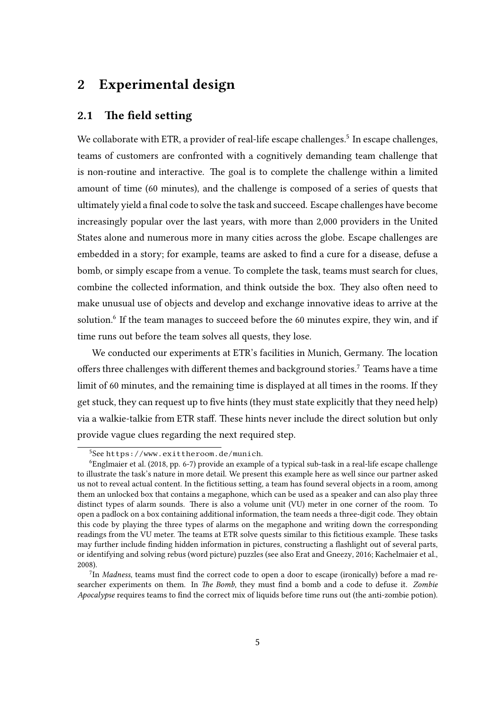## <span id="page-5-0"></span>2 Experimental design

### 2.1 The field setting

We collaborate with ETR, a provider of real-life escape challenges.<sup>[5](#page-5-1)</sup> In escape challenges, teams of customers are confronted with a cognitively demanding team challenge that is non-routine and interactive. The goal is to complete the challenge within a limited amount of time (60 minutes), and the challenge is composed of a series of quests that ultimately yield a final code to solve the task and succeed. Escape challenges have become increasingly popular over the last years, with more than 2,000 providers in the United States alone and numerous more in many cities across the globe. Escape challenges are embedded in a story; for example, teams are asked to find a cure for a disease, defuse a bomb, or simply escape from a venue. To complete the task, teams must search for clues, combine the collected information, and think outside the box. They also often need to make unusual use of objects and develop and exchange innovative ideas to arrive at the solution.<sup>[6](#page-5-2)</sup> If the team manages to succeed before the 60 minutes expire, they win, and if time runs out before the team solves all quests, they lose.

We conducted our experiments at ETR's facilities in Munich, Germany. The location offers three challenges with different themes and background stories.<sup>[7](#page-5-3)</sup> Teams have a time limit of 60 minutes, and the remaining time is displayed at all times in the rooms. If they get stuck, they can request up to five hints (they must state explicitly that they need help) via a walkie-talkie from ETR staff. These hints never include the direct solution but only provide vague clues regarding the next required step.

<span id="page-5-2"></span><span id="page-5-1"></span><sup>5</sup>See <https://www.exittheroom.de/munich>.

<sup>6</sup>[Englmaier et al.](#page-21-1) [\(2018,](#page-21-1) pp. 6-7) provide an example of a typical sub-task in a real-life escape challenge to illustrate the task's nature in more detail. We present this example here as well since our partner asked us not to reveal actual content. In the fictitious setting, a team has found several objects in a room, among them an unlocked box that contains a megaphone, which can be used as a speaker and can also play three distinct types of alarm sounds. There is also a volume unit (VU) meter in one corner of the room. To open a padlock on a box containing additional information, the team needs a three-digit code. They obtain this code by playing the three types of alarms on the megaphone and writing down the corresponding readings from the VU meter. The teams at ETR solve quests similar to this fictitious example. These tasks may further include finding hidden information in pictures, constructing a flashlight out of several parts, or identifying and solving rebus (word picture) puzzles (see also [Erat and Gneezy, 2016;](#page-21-9) [Kachelmaier et al.,](#page-22-9) [2008\)](#page-22-9).

<span id="page-5-3"></span> $^{7}$ In Madness, teams must find the correct code to open a door to escape (ironically) before a mad researcher experiments on them. In The Bomb, they must find a bomb and a code to defuse it. Zombie Apocalypse requires teams to find the correct mix of liquids before time runs out (the anti-zombie potion).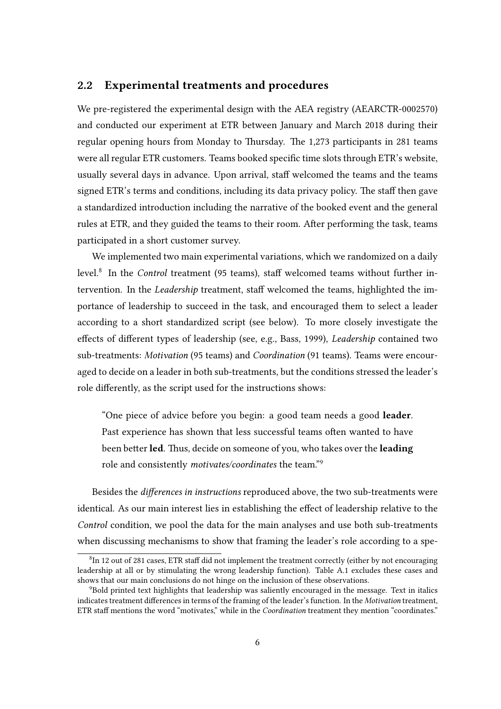## <span id="page-6-2"></span>2.2 Experimental treatments and procedures

We pre-registered the experimental design with the AEA registry (AEARCTR-0002570) and conducted our experiment at ETR between January and March 2018 during their regular opening hours from Monday to Thursday. The 1,273 participants in 281 teams were all regular ETR customers. Teams booked specific time slots through ETR's website, usually several days in advance. Upon arrival, staff welcomed the teams and the teams signed ETR's terms and conditions, including its data privacy policy. The staff then gave a standardized introduction including the narrative of the booked event and the general rules at ETR, and they guided the teams to their room. After performing the task, teams participated in a short customer survey.

We implemented two main experimental variations, which we randomized on a daily level.<sup>[8](#page-6-0)</sup> In the *Control* treatment (95 teams), staff welcomed teams without further intervention. In the Leadership treatment, staff welcomed the teams, highlighted the importance of leadership to succeed in the task, and encouraged them to select a leader according to a short standardized script (see below). To more closely investigate the effects of different types of leadership (see, e.g., [Bass, 1999\)](#page-20-3), Leadership contained two sub-treatments: Motivation (95 teams) and Coordination (91 teams). Teams were encouraged to decide on a leader in both sub-treatments, but the conditions stressed the leader's role differently, as the script used for the instructions shows:

"One piece of advice before you begin: a good team needs a good **leader**. Past experience has shown that less successful teams often wanted to have been better led. Thus, decide on someone of you, who takes over the leading role and consistently motivates/coordinates the team."[9](#page-6-1)

Besides the differences in instructions reproduced above, the two sub-treatments were identical. As our main interest lies in establishing the effect of leadership relative to the Control condition, we pool the data for the main analyses and use both sub-treatments when discussing mechanisms to show that framing the leader's role according to a spe-

<span id="page-6-0"></span> ${}^{8}$ In 12 out of 281 cases, ETR staff did not implement the treatment correctly (either by not encouraging leadership at all or by stimulating the wrong leadership function). Table [A.1](#page-25-0) excludes these cases and shows that our main conclusions do not hinge on the inclusion of these observations.

<span id="page-6-1"></span><sup>9</sup>Bold printed text highlights that leadership was saliently encouraged in the message. Text in italics indicates treatment differences in terms of the framing of the leader's function. In the Motivation treatment, ETR staff mentions the word "motivates," while in the *Coordination* treatment they mention "coordinates."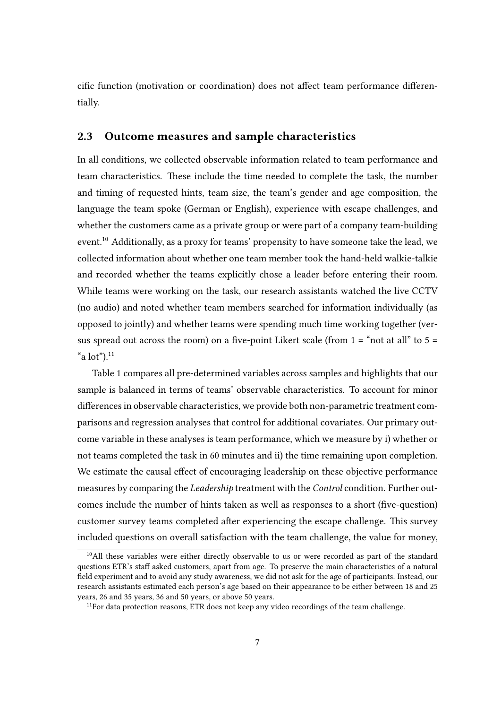cific function (motivation or coordination) does not affect team performance differentially.

### 2.3 Outcome measures and sample characteristics

In all conditions, we collected observable information related to team performance and team characteristics. These include the time needed to complete the task, the number and timing of requested hints, team size, the team's gender and age composition, the language the team spoke (German or English), experience with escape challenges, and whether the customers came as a private group or were part of a company team-building event.[10](#page-7-0) Additionally, as a proxy for teams' propensity to have someone take the lead, we collected information about whether one team member took the hand-held walkie-talkie and recorded whether the teams explicitly chose a leader before entering their room. While teams were working on the task, our research assistants watched the live CCTV (no audio) and noted whether team members searched for information individually (as opposed to jointly) and whether teams were spending much time working together (versus spread out across the room) on a five-point Likert scale (from  $1 =$  "not at all" to  $5 =$ "a  $lot$ "). $^{11}$  $^{11}$  $^{11}$ 

Table [1](#page-8-1) compares all pre-determined variables across samples and highlights that our sample is balanced in terms of teams' observable characteristics. To account for minor differences in observable characteristics, we provide both non-parametric treatment comparisons and regression analyses that control for additional covariates. Our primary outcome variable in these analyses is team performance, which we measure by i) whether or not teams completed the task in 60 minutes and ii) the time remaining upon completion. We estimate the causal effect of encouraging leadership on these objective performance measures by comparing the Leadership treatment with the Control condition. Further outcomes include the number of hints taken as well as responses to a short (five-question) customer survey teams completed after experiencing the escape challenge. This survey included questions on overall satisfaction with the team challenge, the value for money,

<span id="page-7-0"></span><sup>&</sup>lt;sup>10</sup>All these variables were either directly observable to us or were recorded as part of the standard questions ETR's staff asked customers, apart from age. To preserve the main characteristics of a natural field experiment and to avoid any study awareness, we did not ask for the age of participants. Instead, our research assistants estimated each person's age based on their appearance to be either between 18 and 25 years, 26 and 35 years, 36 and 50 years, or above 50 years.

<span id="page-7-1"></span> $11$  For data protection reasons, ETR does not keep any video recordings of the team challenge.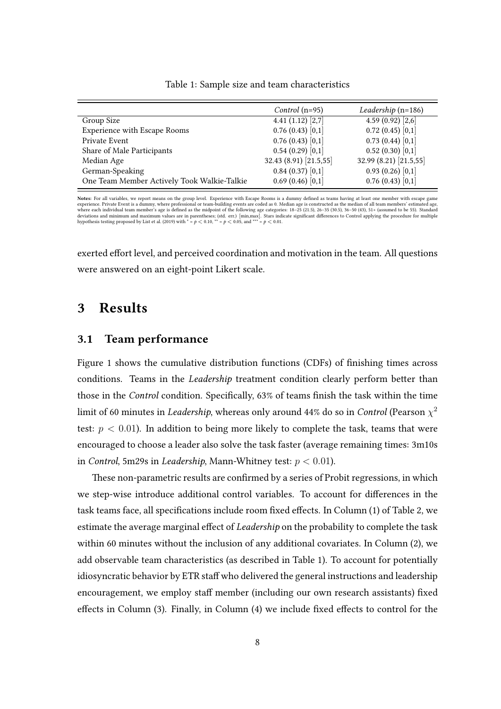|                                             | <i>Control</i> ( $n=95$ ) | Leadership $(n=186)$   |
|---------------------------------------------|---------------------------|------------------------|
| Group Size                                  | 4.41 $(1.12)$ $[2,7]$     | 4.59(0.92)[2,6]        |
| <b>Experience with Escape Rooms</b>         | 0.76(0.43)[0,1]           | 0.72(0.45)[0,1]        |
| Private Event                               | 0.76(0.43)[0,1]           | 0.73(0.44)[0,1]        |
| Share of Male Participants                  | 0.54(0.29)[0,1]           | 0.52(0.30)[0,1]        |
| Median Age                                  | 32.43 (8.91) [21.5,55]    | 32.99 (8.21) [21.5,55] |
| German-Speaking                             | 0.84(0.37)[0,1]           | 0.93(0.26)[0,1]        |
| One Team Member Actively Took Walkie-Talkie | 0.69(0.46)[0,1]           | 0.76(0.43)[0,1]        |

#### <span id="page-8-1"></span>Table 1: Sample size and team characteristics

Notes: For all variables, we report means on the group level. Experience with Escape Rooms is a dummy defined as teams having at least one member with escape game experience. Private Event is a dummy, where professional or team-building events are coded as 0. Median age is constructed as the median of all team members' estimated age.<br>where each individual team member's age is define deviations and minimum and maximum values are in parentheses; (std. err.) [min,max]. Stars indicate significant differences to Control applying the procedure for multiple<br>hypothesis testing proposed by [List et al. \(2019\)](#page-23-9)

exerted effort level, and perceived coordination and motivation in the team. All questions were answered on an eight-point Likert scale.

## <span id="page-8-0"></span>3 Results

## 3.1 Team performance

Figure [1](#page-9-0) shows the cumulative distribution functions (CDFs) of finishing times across conditions. Teams in the *Leadership* treatment condition clearly perform better than those in the Control condition. Specifically, 63% of teams finish the task within the time limit of 60 minutes in *Leadership*, whereas only around 44% do so in *Control* (Pearson  $\chi^2$ test:  $p < 0.01$ ). In addition to being more likely to complete the task, teams that were encouraged to choose a leader also solve the task faster (average remaining times: 3m10s in Control, 5m29s in Leadership, Mann-Whitney test: *p <* 0*.*01).

These non-parametric results are confirmed by a series of Probit regressions, in which we step-wise introduce additional control variables. To account for differences in the task teams face, all specifications include room fixed effects. In Column (1) of Table [2,](#page-10-0) we estimate the average marginal effect of *Leadership* on the probability to complete the task within 60 minutes without the inclusion of any additional covariates. In Column (2), we add observable team characteristics (as described in Table [1\)](#page-8-1). To account for potentially idiosyncratic behavior by ETR staff who delivered the general instructions and leadership encouragement, we employ staff member (including our own research assistants) fixed effects in Column  $(3)$ . Finally, in Column  $(4)$  we include fixed effects to control for the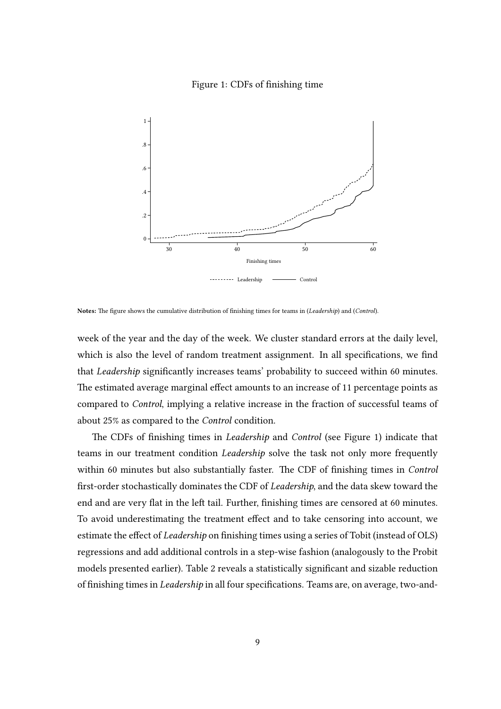#### <span id="page-9-0"></span>Figure 1: CDFs of finishing time



Notes: The figure shows the cumulative distribution of finishing times for teams in (Leadership) and (Control).

week of the year and the day of the week. We cluster standard errors at the daily level, which is also the level of random treatment assignment. In all specifications, we find that Leadership significantly increases teams' probability to succeed within 60 minutes. The estimated average marginal effect amounts to an increase of 11 percentage points as compared to Control, implying a relative increase in the fraction of successful teams of about 25% as compared to the Control condition.

The CDFs of finishing times in *Leadership* and *Control* (see Figure [1\)](#page-9-0) indicate that teams in our treatment condition Leadership solve the task not only more frequently within 60 minutes but also substantially faster. The CDF of finishing times in Control first-order stochastically dominates the CDF of Leadership, and the data skew toward the end and are very flat in the left tail. Further, finishing times are censored at 60 minutes. To avoid underestimating the treatment effect and to take censoring into account, we estimate the effect of *Leadership* on finishing times using a series of Tobit (instead of OLS) regressions and add additional controls in a step-wise fashion (analogously to the Probit models presented earlier). Table [2](#page-10-0) reveals a statistically significant and sizable reduction of finishing times in *Leadership* in all four specifications. Teams are, on average, two-and-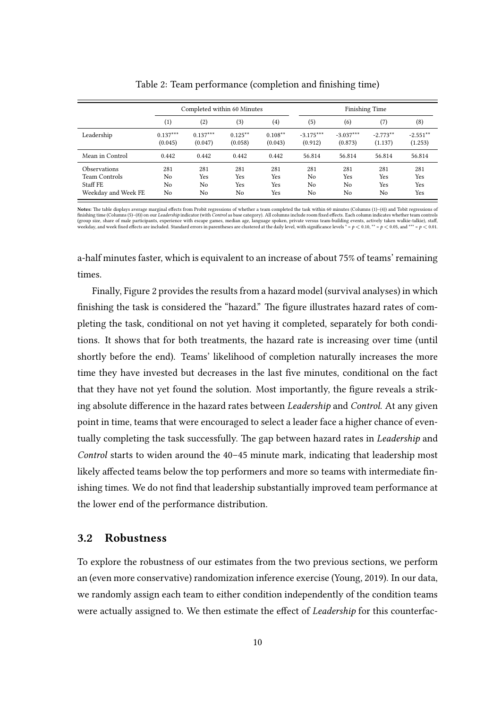|                                                                                |                       | Completed within 60 Minutes |                                     |                          | <b>Finishing Time</b>  |                                                |                         |                          |
|--------------------------------------------------------------------------------|-----------------------|-----------------------------|-------------------------------------|--------------------------|------------------------|------------------------------------------------|-------------------------|--------------------------|
|                                                                                | $\left(1\right)$      | (2)                         | (3)                                 | $\left( 4\right)$        | (5)                    | (6)                                            | (7)                     | (8)                      |
| Leadership                                                                     | $0.137***$<br>(0.045) | $0.137***$<br>(0.047)       | $0.125***$<br>(0.058)               | $0.108**$<br>(0.043)     | $-3.175***$<br>(0.912) | $-3.037***$<br>(0.873)                         | $-2.773**$<br>(1.137)   | $-2.551**$<br>(1.253)    |
| Mean in Control                                                                | 0.442                 | 0.442                       | 0.442                               | 0.442                    | 56.814                 | 56.814                                         | 56.814                  | 56.814                   |
| <b>Observations</b><br><b>Team Controls</b><br>Staff FE<br>Weekday and Week FE | 281<br>No<br>No<br>No | 281<br>Yes<br>No<br>No      | 281<br>Yes<br>Yes<br>N <sub>o</sub> | 281<br>Yes<br>Yes<br>Yes | 281<br>No<br>No<br>No  | 281<br>Yes<br>N <sub>0</sub><br>N <sub>0</sub> | 281<br>Yes<br>Yes<br>No | 281<br>Yes<br>Yes<br>Yes |

<span id="page-10-0"></span>Table 2: Team performance (completion and finishing time)

**Notes:** The table displays average marginal effects from Probit regressions of whether a team completed the task within 60 minutes (Columns (1)–(4)) and Tobit regressions of<br>finishing time (Columns (5)–(8)) on our *Leader* (group size, share of male participants, experience with escape games, median age, language spoken, private versus team-building events, actively taken walkie-talkie), staff, weekday, and week fixed effects are included.

a-half minutes faster, which is equivalent to an increase of about 75% of teams' remaining times.

Finally, Figure [2](#page-11-0) provides the results from a hazard model (survival analyses) in which finishing the task is considered the "hazard." The figure illustrates hazard rates of completing the task, conditional on not yet having it completed, separately for both conditions. It shows that for both treatments, the hazard rate is increasing over time (until shortly before the end). Teams' likelihood of completion naturally increases the more time they have invested but decreases in the last five minutes, conditional on the fact that they have not yet found the solution. Most importantly, the figure reveals a striking absolute difference in the hazard rates between Leadership and Control. At any given point in time, teams that were encouraged to select a leader face a higher chance of eventually completing the task successfully. The gap between hazard rates in *Leadership* and Control starts to widen around the 40–45 minute mark, indicating that leadership most likely affected teams below the top performers and more so teams with intermediate finishing times. We do not find that leadership substantially improved team performance at the lower end of the performance distribution.

### 3.2 Robustness

To explore the robustness of our estimates from the two previous sections, we perform an (even more conservative) randomization inference exercise [\(Young, 2019\)](#page-24-1). In our data, we randomly assign each team to either condition independently of the condition teams were actually assigned to. We then estimate the effect of Leadership for this counterfac-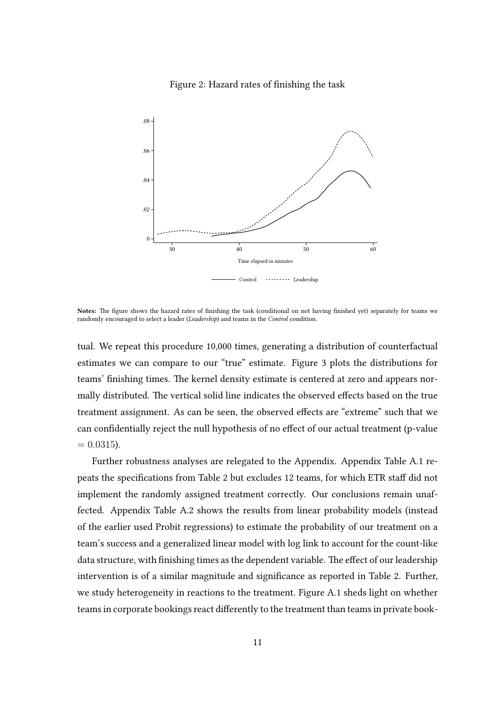#### <span id="page-11-0"></span>Figure 2: Hazard rates of finishing the task



Notes: The figure shows the hazard rates of finishing the task (conditional on not having finished yet) separately for teams we randomly encouraged to select a leader (Leadership) and teams in the Control condition.

tual. We repeat this procedure 10,000 times, generating a distribution of counterfactual estimates we can compare to our "true" estimate. Figure [3](#page-12-1) plots the distributions for teams' finishing times. The kernel density estimate is centered at zero and appears normally distributed. The vertical solid line indicates the observed effects based on the true treatment assignment. As can be seen, the observed effects are "extreme" such that we can confidentially reject the null hypothesis of no effect of our actual treatment (p-value  $= 0.0315$ .

Further robustness analyses are relegated to the Appendix. Appendix Table [A.1](#page-25-0) re-peats the specifications from Table [2](#page-10-0) but excludes 12 teams, for which ETR staff did not implement the randomly assigned treatment correctly. Our conclusions remain unaffected. Appendix Table [A.2](#page-25-1) shows the results from linear probability models (instead of the earlier used Probit regressions) to estimate the probability of our treatment on a team's success and a generalized linear model with log link to account for the count-like data structure, with finishing times as the dependent variable. The effect of our leadership intervention is of a similar magnitude and significance as reported in Table [2.](#page-10-0) Further, we study heterogeneity in reactions to the treatment. Figure [A.1](#page-9-0) sheds light on whether teams in corporate bookings react differently to the treatment than teams in private book-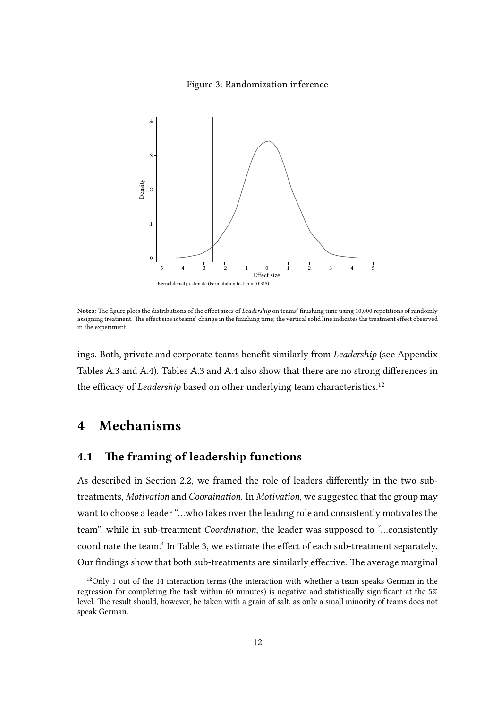#### <span id="page-12-1"></span>Figure 3: Randomization inference



Notes: The figure plots the distributions of the effect sizes of Leadership on teams' finishing time using 10,000 repetitions of randomly assigning treatment. The effect size is teams' change in the finishing time; the vertical solid line indicates the treatment effect observed in the experiment.

ings. Both, private and corporate teams benefit similarly from Leadership (see Appendix Tables [A.3](#page-27-0) and [A.4\)](#page-28-0). Tables A.3 and [A.4](#page-28-0) also show that there are no strong differences in the efficacy of Leadership based on other underlying team characteristics.<sup>[12](#page-12-2)</sup>

## <span id="page-12-0"></span>4 Mechanisms

## 4.1 The framing of leadership functions

As described in Section [2.2,](#page-6-2) we framed the role of leaders differently in the two subtreatments, Motivation and Coordination. In Motivation, we suggested that the group may want to choose a leader "…who takes over the leading role and consistently motivates the team", while in sub-treatment Coordination, the leader was supposed to "…consistently coordinate the team." In Table [3,](#page-13-0) we estimate the effect of each sub-treatment separately. Our findings show that both sub-treatments are similarly effective. The average marginal

<span id="page-12-2"></span> $12$ Only 1 out of the 14 interaction terms (the interaction with whether a team speaks German in the regression for completing the task within 60 minutes) is negative and statistically signicant at the 5% level. The result should, however, be taken with a grain of salt, as only a small minority of teams does not speak German.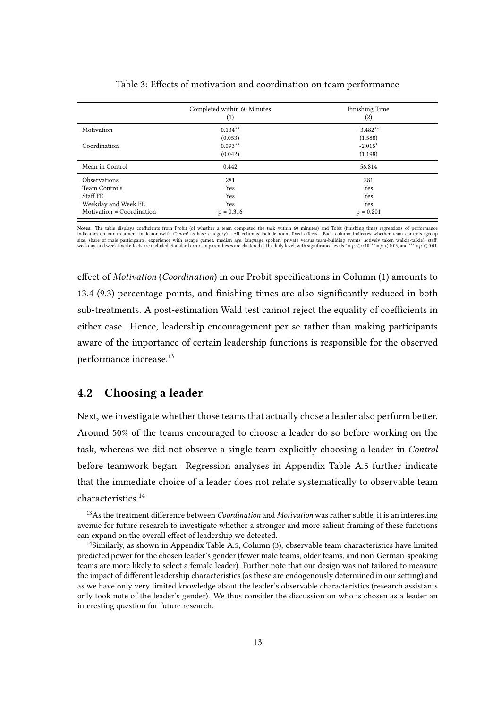|                           | Completed within 60 Minutes<br>(1) | <b>Finishing Time</b><br>(2)    |
|---------------------------|------------------------------------|---------------------------------|
| Motivation                | $0.134***$                         | $-3.482**$                      |
| Coordination              | (0.053)<br>$0.093**$<br>(0.042)    | (1.588)<br>$-2.015*$<br>(1.198) |
| Mean in Control           | 0.442                              | 56.814                          |
| Observations              | 281                                | 281                             |
| Team Controls             | Yes                                | Yes                             |
| Staff FE                  | Yes                                | Yes                             |
| Weekday and Week FE       | Yes                                | Yes                             |
| Motivation = Coordination | $p = 0.316$                        | $p = 0.201$                     |

<span id="page-13-0"></span>

|  |  |  | Table 3: Effects of motivation and coordination on team performance |  |  |  |
|--|--|--|---------------------------------------------------------------------|--|--|--|
|  |  |  |                                                                     |  |  |  |

Notes: The table displays coefficients from Probit (of whether a team completed the task within 60 minutes) and Tobit (finishing time) regressions of performance indicators on our treatment indicator (with Control as base category). All columns include room xed eects. Each column indicates whether team controls (group size, share of male participants, experience with escape games, median age, language spoken, private versus team-building events, actively taken walkie-talkie), staff, weekday, and week fixed effects are included. Standar

effect of *Motivation* (*Coordination*) in our Probit specifications in Column (1) amounts to 13.4 (9.3) percentage points, and finishing times are also significantly reduced in both sub-treatments. A post-estimation Wald test cannot reject the equality of coefficients in either case. Hence, leadership encouragement per se rather than making participants aware of the importance of certain leadership functions is responsible for the observed performance increase.[13](#page-13-1)

## 4.2 Choosing a leader

Next, we investigate whether those teams that actually chose a leader also perform better. Around 50% of the teams encouraged to choose a leader do so before working on the task, whereas we did not observe a single team explicitly choosing a leader in Control before teamwork began. Regression analyses in Appendix Table [A.5](#page-29-0) further indicate that the immediate choice of a leader does not relate systematically to observable team characteristics.[14](#page-13-2)

<span id="page-13-1"></span> $13$ As the treatment difference between *Coordination* and *Motivation* was rather subtle, it is an interesting avenue for future research to investigate whether a stronger and more salient framing of these functions can expand on the overall effect of leadership we detected.

<span id="page-13-2"></span> $14$ Similarly, as shown in Appendix Table [A.5,](#page-29-0) Column  $(3)$ , observable team characteristics have limited predicted power for the chosen leader's gender (fewer male teams, older teams, and non-German-speaking teams are more likely to select a female leader). Further note that our design was not tailored to measure the impact of different leadership characteristics (as these are endogenously determined in our setting) and as we have only very limited knowledge about the leader's observable characteristics (research assistants only took note of the leader's gender). We thus consider the discussion on who is chosen as a leader an interesting question for future research.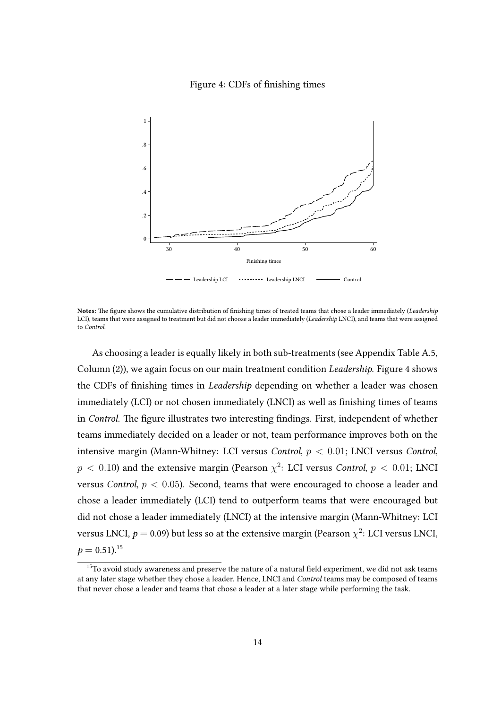#### <span id="page-14-0"></span>Figure 4: CDFs of finishing times



Notes: The figure shows the cumulative distribution of finishing times of treated teams that chose a leader immediately (Leadership LCI), teams that were assigned to treatment but did not choose a leader immediately (Leadership LNCI), and teams that were assigned to Control.

As choosing a leader is equally likely in both sub-treatments (see Appendix Table [A.5,](#page-29-0) Column (2)), we again focus on our main treatment condition Leadership. Figure [4](#page-14-0) shows the CDFs of finishing times in *Leadership* depending on whether a leader was chosen immediately (LCI) or not chosen immediately (LNCI) as well as finishing times of teams in Control. The figure illustrates two interesting findings. First, independent of whether teams immediately decided on a leader or not, team performance improves both on the intensive margin (Mann-Whitney: LCI versus Control, *p <* 0*.*01; LNCI versus Control,  $p\,<\,0.10$ ) and the extensive margin (Pearson  $\chi^2$ : LCI versus *Control, p*  $\,<\,0.01;$  LNCI versus Control, *p <* 0*.*05). Second, teams that were encouraged to choose a leader and chose a leader immediately (LCI) tend to outperform teams that were encouraged but did not chose a leader immediately (LNCI) at the intensive margin (Mann-Whitney: LCI versus LNCI,  $p =$  0.09) but less so at the extensive margin (Pearson  $\chi^2$ : LCI versus LNCI,  $p = 0.51$ .<sup>[15](#page-14-1)</sup>

<span id="page-14-1"></span> $15$ To avoid study awareness and preserve the nature of a natural field experiment, we did not ask teams at any later stage whether they chose a leader. Hence, LNCI and Control teams may be composed of teams that never chose a leader and teams that chose a leader at a later stage while performing the task.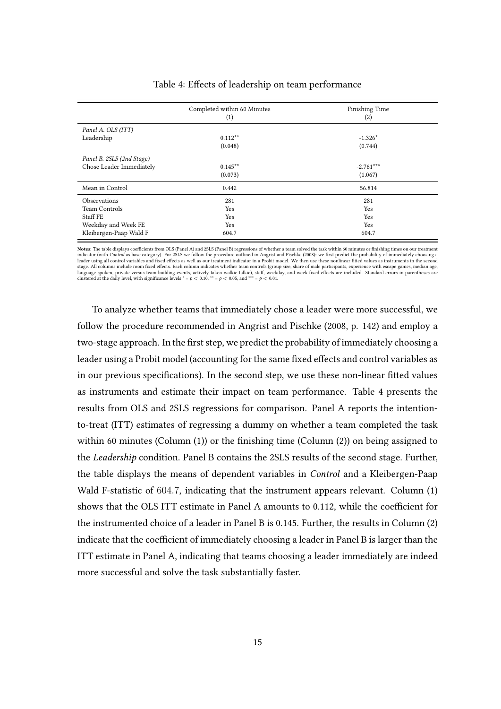|                           | Completed within 60 Minutes<br>(1) | <b>Finishing Time</b><br>(2) |
|---------------------------|------------------------------------|------------------------------|
| Panel A. OLS (ITT)        |                                    |                              |
| Leadership                | $0.112***$                         | $-1.326*$                    |
|                           | (0.048)                            | (0.744)                      |
| Panel B. 2SLS (2nd Stage) |                                    |                              |
| Chose Leader Immediately  | $0.145***$                         | $-2.761***$                  |
|                           | (0.073)                            | (1.067)                      |
| Mean in Control           | 0.442                              | 56.814                       |
| <b>Observations</b>       | 281                                | 281                          |
| <b>Team Controls</b>      | Yes                                | Yes                          |
| Staff FE                  | Yes                                | Yes                          |
| Weekday and Week FE       | Yes                                | Yes                          |
| Kleibergen-Paap Wald F    | 604.7                              | 604.7                        |

#### <span id="page-15-0"></span>Table 4: Effects of leadership on team performance

Notes: The table displays coefficients from OLS (Panel A) and 2SLS (Panel B) regressions of whether a team solved the task within 60 minutes or finishing times on our treatment indicator (with Control as base category). For 2SLS we follow the procedure outlined in Angrist and Pischke (2008): we rst predict the probability of immediately choosing a leader using all control variables and fixed effects as well as our treatment indicator in a Probit model. We then use these nonlinear fitted values as instruments in the second stage. All columns include room fixed effects. Each column indicates whether team controls (group size, share of male participants, experience with escape games, median age.<br>language spoken, private versus team-building ev clustered at the daily level, with significance levels  $* = p < 0.10$ ,  $** = p < 0.05$ , and  $** = p < 0.01$ .

To analyze whether teams that immediately chose a leader were more successful, we follow the procedure recommended in [Angrist and Pischke](#page-20-10) [\(2008,](#page-20-10) p. 142) and employ a two-stage approach. In the first step, we predict the probability of immediately choosing a leader using a Probit model (accounting for the same fixed effects and control variables as in our previous specifications). In the second step, we use these non-linear fitted values as instruments and estimate their impact on team performance. Table [4](#page-15-0) presents the results from OLS and 2SLS regressions for comparison. Panel A reports the intentionto-treat (ITT) estimates of regressing a dummy on whether a team completed the task within 60 minutes (Column  $(1)$ ) or the finishing time (Column  $(2)$ ) on being assigned to the Leadership condition. Panel B contains the 2SLS results of the second stage. Further, the table displays the means of dependent variables in Control and a Kleibergen-Paap Wald F-statistic of 604*.*7, indicating that the instrument appears relevant. Column (1) shows that the OLS ITT estimate in Panel A amounts to 0.112, while the coefficient for the instrumented choice of a leader in Panel B is 0.145. Further, the results in Column (2) indicate that the coefficient of immediately choosing a leader in Panel B is larger than the ITT estimate in Panel A, indicating that teams choosing a leader immediately are indeed more successful and solve the task substantially faster.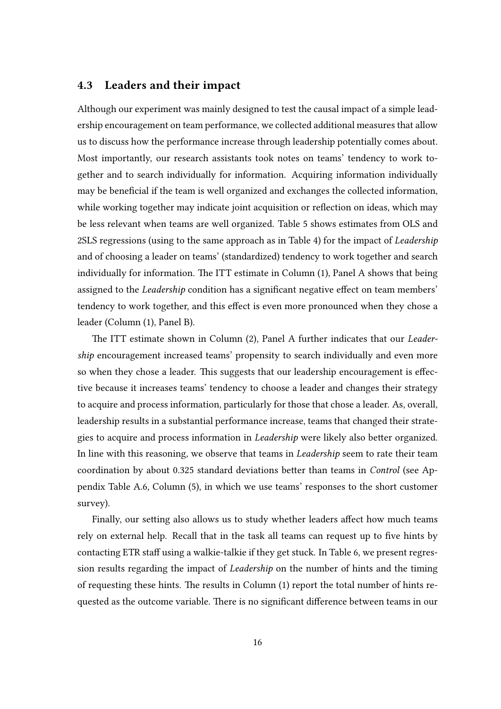### 4.3 Leaders and their impact

Although our experiment was mainly designed to test the causal impact of a simple leadership encouragement on team performance, we collected additional measures that allow us to discuss how the performance increase through leadership potentially comes about. Most importantly, our research assistants took notes on teams' tendency to work together and to search individually for information. Acquiring information individually may be beneficial if the team is well organized and exchanges the collected information, while working together may indicate joint acquisition or reflection on ideas, which may be less relevant when teams are well organized. Table [5](#page-17-1) shows estimates from OLS and 2SLS regressions (using to the same approach as in Table [4\)](#page-15-0) for the impact of Leadership and of choosing a leader on teams' (standardized) tendency to work together and search individually for information. The ITT estimate in Column  $(1)$ , Panel A shows that being assigned to the *Leadership* condition has a significant negative effect on team members' tendency to work together, and this effect is even more pronounced when they chose a leader (Column (1), Panel B).

The ITT estimate shown in Column (2), Panel A further indicates that our Leadership encouragement increased teams' propensity to search individually and even more so when they chose a leader. This suggests that our leadership encouragement is effective because it increases teams' tendency to choose a leader and changes their strategy to acquire and process information, particularly for those that chose a leader. As, overall, leadership results in a substantial performance increase, teams that changed their strategies to acquire and process information in *Leadership* were likely also better organized. In line with this reasoning, we observe that teams in Leadership seem to rate their team coordination by about 0.325 standard deviations better than teams in *Control* (see Appendix Table [A.6,](#page-30-0) Column (5), in which we use teams' responses to the short customer survey).

Finally, our setting also allows us to study whether leaders affect how much teams rely on external help. Recall that in the task all teams can request up to five hints by contacting ETR staff using a walkie-talkie if they get stuck. In Table [6,](#page-18-0) we present regression results regarding the impact of Leadership on the number of hints and the timing of requesting these hints. The results in Column  $(1)$  report the total number of hints requested as the outcome variable. There is no significant difference between teams in our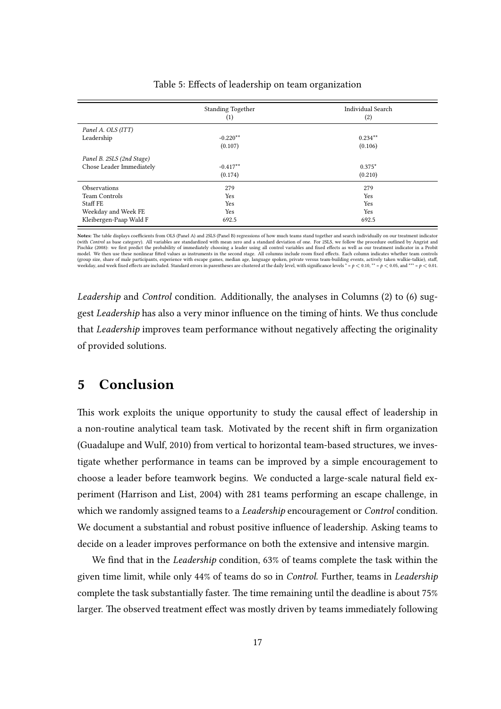|                           | <b>Standing Together</b><br>(1) | <b>Individual Search</b><br>(2) |
|---------------------------|---------------------------------|---------------------------------|
| Panel A. OLS (ITT)        |                                 |                                 |
| Leadership                | $-0.220**$                      | $0.234***$                      |
|                           | (0.107)                         | (0.106)                         |
| Panel B. 2SLS (2nd Stage) |                                 |                                 |
| Chose Leader Immediately  | $-0.417**$                      | $0.375*$                        |
|                           | (0.174)                         | (0.210)                         |
| Observations              | 279                             | 279                             |
| Team Controls             | Yes                             | Yes                             |
| Staff FE                  | Yes                             | Yes                             |
| Weekday and Week FE       | Yes                             | Yes                             |
| Kleibergen-Paap Wald F    | 692.5                           | 692.5                           |

#### <span id="page-17-1"></span>Table 5: Effects of leadership on team organization

Notes: The table displays coefficients from OLS (Panel A) and 2SLS (Panel B) regressions of how much teams stand together and search individually on our treatment indicator (with *Control* as base category). All variables are standardized with mean zero and a standard deviation of one. For 2SLS, we follow the procedure outlined by Angrist and<br>Pischke (2008): we first predict the probability o (group size, share of male participants, experience with escape games, median age, language spoken, private versus team-building events, actively taken walkie-talkie), staff, weekday, and week fixed effects are included.

Leadership and Control condition. Additionally, the analyses in Columns (2) to (6) suggest Leadership has also a very minor influence on the timing of hints. We thus conclude that Leadership improves team performance without negatively affecting the originality of provided solutions.

## <span id="page-17-0"></span>5 Conclusion

This work exploits the unique opportunity to study the causal effect of leadership in a non-routine analytical team task. Motivated by the recent shift in firm organization [\(Guadalupe and Wulf, 2010\)](#page-22-0) from vertical to horizontal team-based structures, we investigate whether performance in teams can be improved by a simple encouragement to choose a leader before teamwork begins. We conducted a large-scale natural field experiment [\(Harrison and List, 2004\)](#page-22-6) with 281 teams performing an escape challenge, in which we randomly assigned teams to a *Leadership* encouragement or *Control* condition. We document a substantial and robust positive influence of leadership. Asking teams to decide on a leader improves performance on both the extensive and intensive margin.

We find that in the *Leadership* condition,  $63\%$  of teams complete the task within the given time limit, while only 44% of teams do so in Control. Further, teams in Leadership complete the task substantially faster. The time remaining until the deadline is about 75% larger. The observed treatment effect was mostly driven by teams immediately following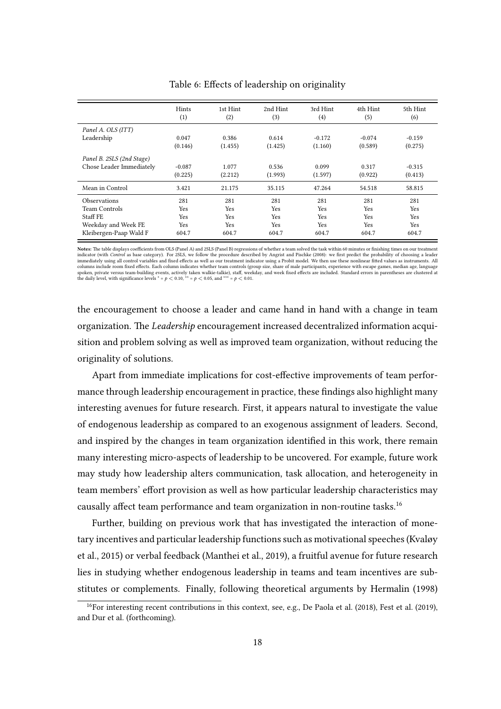|                           | Hints<br>(1) | 1st Hint<br>(2) | 2nd Hint<br>(3) | 3rd Hint<br>(4) | 4th Hint<br>(5) | 5th Hint<br>(6) |
|---------------------------|--------------|-----------------|-----------------|-----------------|-----------------|-----------------|
| Panel A. OLS (ITT)        |              |                 |                 |                 |                 |                 |
| Leadership                | 0.047        | 0.386           | 0.614           | $-0.172$        | $-0.074$        | $-0.159$        |
|                           | (0.146)      | (1.455)         | (1.425)         | (1.160)         | (0.589)         | (0.275)         |
| Panel B. 2SLS (2nd Stage) |              |                 |                 |                 |                 |                 |
| Chose Leader Immediately  | $-0.087$     | 1.077           | 0.536           | 0.099           | 0.317           | $-0.315$        |
|                           | (0.225)      | (2.212)         | (1.993)         | (1.597)         | (0.922)         | (0.413)         |
| Mean in Control           | 3.421        | 21.175          | 35.115          | 47.264          | 54.518          | 58.815          |
| <b>Observations</b>       | 281          | 281             | 281             | 281             | 281             | 281             |
| Team Controls             | <b>Yes</b>   | <b>Yes</b>      | <b>Yes</b>      | <b>Yes</b>      | <b>Yes</b>      | Yes             |
| Staff FE                  | <b>Yes</b>   | Yes             | Yes             | <b>Yes</b>      | Yes             | Yes             |
| Weekday and Week FE       | <b>Yes</b>   | <b>Yes</b>      | Yes             | <b>Yes</b>      | Yes             | <b>Yes</b>      |
| Kleibergen-Paap Wald F    | 604.7        | 604.7           | 604.7           | 604.7           | 604.7           | 604.7           |

<span id="page-18-0"></span>Table 6: Effects of leadership on originality

Notes: The table displays coefficients from OLS (Panel A) and 2SLS (Panel B) regressions of whether a team solved the task within 60 minutes or finishing times on our treatment indicator (with Control as base category). For 2SLS, we follow the procedure described by Angrist and Pischke (2008): we rst predict the probability of choosing a leader immediately using all control variables and fixed effects as well as our treatment indicator using a Probit model. We then use these nonlinear fitted values as instruments. All<br>columns include room fixed effects. Each colu the daily level, with significance levels  $^* = p < 0.10$ ,  $^{**} = p < 0.05$ , and  $^{***} = p < 0.01$ .

the encouragement to choose a leader and came hand in hand with a change in team organization. The *Leadership* encouragement increased decentralized information acquisition and problem solving as well as improved team organization, without reducing the originality of solutions.

Apart from immediate implications for cost-effective improvements of team performance through leadership encouragement in practice, these findings also highlight many interesting avenues for future research. First, it appears natural to investigate the value of endogenous leadership as compared to an exogenous assignment of leaders. Second, and inspired by the changes in team organization identified in this work, there remain many interesting micro-aspects of leadership to be uncovered. For example, future work may study how leadership alters communication, task allocation, and heterogeneity in team members' effort provision as well as how particular leadership characteristics may causally affect team performance and team organization in non-routine tasks.<sup>[16](#page-18-1)</sup>

Further, building on previous work that has investigated the interaction of monetary incentives and particular leadership functions such as motivational speeches [\(Kvaløy](#page-22-7) [et al., 2015\)](#page-22-7) or verbal feedback [\(Manthei et al., 2019\)](#page-23-10), a fruitful avenue for future research lies in studying whether endogenous leadership in teams and team incentives are substitutes or complements. Finally, following theoretical arguments by [Hermalin](#page-22-10) [\(1998\)](#page-22-10)

<span id="page-18-1"></span><sup>&</sup>lt;sup>16</sup>For interesting recent contributions in this context, see, e.g., [De Paola et al.](#page-21-10) [\(2018\)](#page-21-10), [Fest et al.](#page-22-11) [\(2019\)](#page-22-11), and [Dur et al.](#page-21-11) (forthcoming).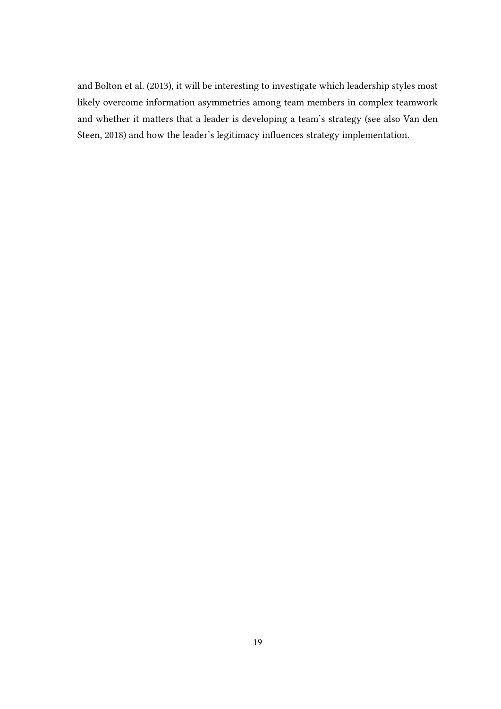and [Bolton et al.](#page-20-11) [\(2013\)](#page-20-11), it will be interesting to investigate which leadership styles most likely overcome information asymmetries among team members in complex teamwork and whether it matters that a leader is developing a team's strategy (see also [Van den](#page-23-11) [Steen, 2018\)](#page-23-11) and how the leader's legitimacy influences strategy implementation.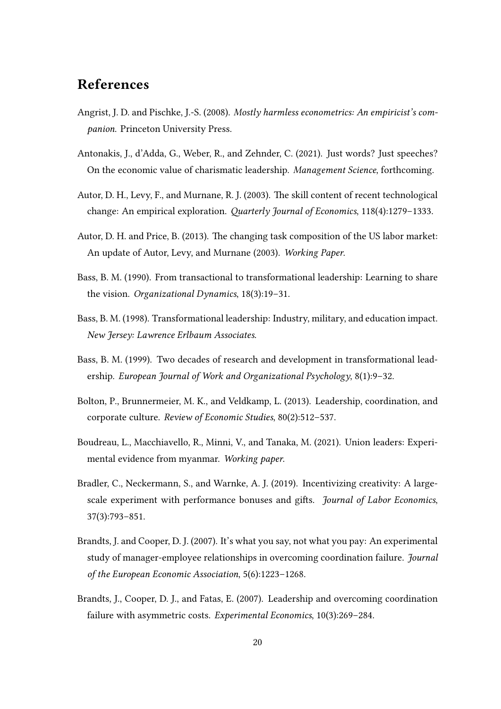# References

- <span id="page-20-10"></span>Angrist, J. D. and Pischke, J.-S. (2008). Mostly harmless econometrics: An empiricist's companion. Princeton University Press.
- <span id="page-20-5"></span>Antonakis, J., d'Adda, G., Weber, R., and Zehnder, C. (2021). Just words? Just speeches? On the economic value of charismatic leadership. Management Science, forthcoming.
- <span id="page-20-0"></span>Autor, D. H., Levy, F., and Murnane, R. J. (2003). The skill content of recent technological change: An empirical exploration. Quarterly Journal of Economics, 118(4):1279-1333.
- <span id="page-20-1"></span>Autor, D. H. and Price, B. (2013). The changing task composition of the US labor market: An update of Autor, Levy, and Murnane (2003). Working Paper.
- <span id="page-20-4"></span>Bass, B. M. (1990). From transactional to transformational leadership: Learning to share the vision. Organizational Dynamics, 18(3):19–31.
- <span id="page-20-2"></span>Bass, B. M. (1998). Transformational leadership: Industry, military, and education impact. New Jersey: Lawrence Erlbaum Associates.
- <span id="page-20-3"></span>Bass, B. M. (1999). Two decades of research and development in transformational leadership. European Journal of Work and Organizational Psychology, 8(1):9–32.
- <span id="page-20-11"></span>Bolton, P., Brunnermeier, M. K., and Veldkamp, L. (2013). Leadership, coordination, and corporate culture. Review of Economic Studies, 80(2):512–537.
- <span id="page-20-6"></span>Boudreau, L., Macchiavello, R., Minni, V., and Tanaka, M. (2021). Union leaders: Experimental evidence from myanmar. Working paper.
- <span id="page-20-9"></span>Bradler, C., Neckermann, S., and Warnke, A. J. (2019). Incentivizing creativity: A largescale experiment with performance bonuses and gifts. Journal of Labor Economics, 37(3):793–851.
- <span id="page-20-7"></span>Brandts, J. and Cooper, D. J. (2007). It's what you say, not what you pay: An experimental study of manager-employee relationships in overcoming coordination failure. *Journal* of the European Economic Association, 5(6):1223–1268.
- <span id="page-20-8"></span>Brandts, J., Cooper, D. J., and Fatas, E. (2007). Leadership and overcoming coordination failure with asymmetric costs. Experimental Economics, 10(3):269–284.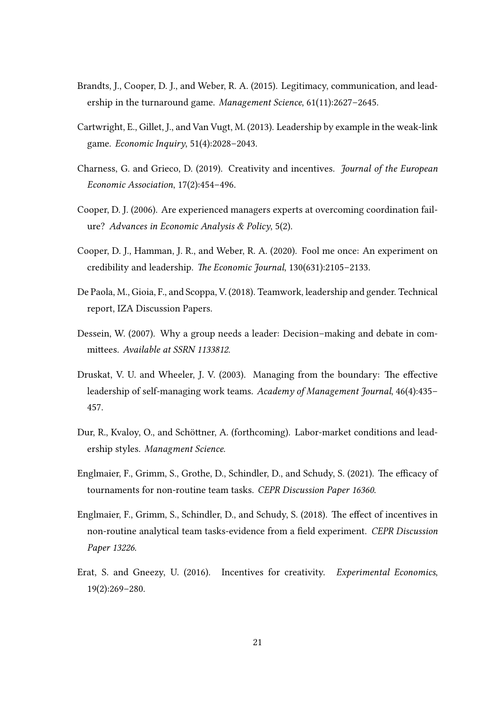- <span id="page-21-4"></span>Brandts, J., Cooper, D. J., and Weber, R. A. (2015). Legitimacy, communication, and leadership in the turnaround game. Management Science, 61(11):2627–2645.
- <span id="page-21-3"></span>Cartwright, E., Gillet, J., and Van Vugt, M. (2013). Leadership by example in the weak-link game. Economic Inquiry, 51(4):2028–2043.
- <span id="page-21-8"></span>Charness, G. and Grieco, D. (2019). Creativity and incentives. Journal of the European Economic Association, 17(2):454–496.
- <span id="page-21-2"></span>Cooper, D. J. (2006). Are experienced managers experts at overcoming coordination failure? Advances in Economic Analysis & Policy, 5(2).
- <span id="page-21-5"></span>Cooper, D. J., Hamman, J. R., and Weber, R. A. (2020). Fool me once: An experiment on credibility and leadership. The Economic Journal, 130(631):2105-2133.
- <span id="page-21-10"></span>De Paola, M., Gioia, F., and Scoppa, V. (2018). Teamwork, leadership and gender. Technical report, IZA Discussion Papers.
- <span id="page-21-6"></span>Dessein, W. (2007). Why a group needs a leader: Decision–making and debate in committees. Available at SSRN 1133812.
- <span id="page-21-0"></span>Druskat, V. U. and Wheeler, J. V. (2003). Managing from the boundary: The effective leadership of self-managing work teams. Academy of Management Journal, 46(4):435– 457.
- <span id="page-21-11"></span>Dur, R., Kvaloy, O., and Schöttner, A. (forthcoming). Labor-market conditions and leadership styles. Managment Science.
- <span id="page-21-7"></span>Englmaier, F., Grimm, S., Grothe, D., Schindler, D., and Schudy, S. (2021). The efficacy of tournaments for non-routine team tasks. CEPR Discussion Paper 16360.
- <span id="page-21-1"></span>Englmaier, F., Grimm, S., Schindler, D., and Schudy, S. (2018). The effect of incentives in non-routine analytical team tasks-evidence from a field experiment. CEPR Discussion Paper 13226.
- <span id="page-21-9"></span>Erat, S. and Gneezy, U. (2016). Incentives for creativity. Experimental Economics, 19(2):269–280.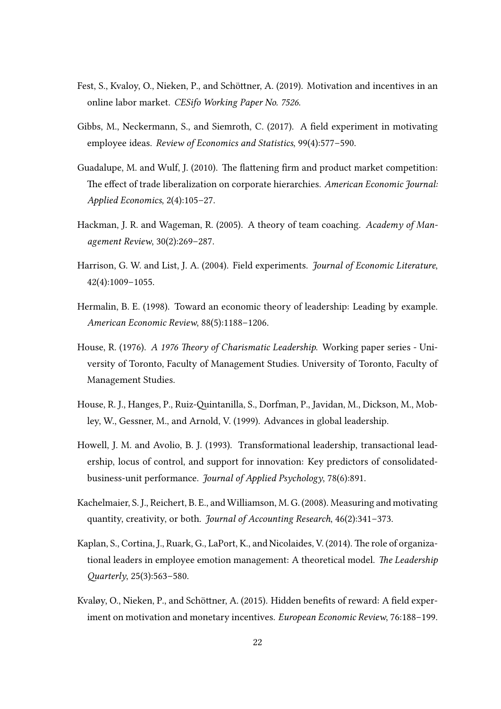- <span id="page-22-11"></span>Fest, S., Kvaloy, O., Nieken, P., and Schöttner, A. (2019). Motivation and incentives in an online labor market. CESifo Working Paper No. 7526.
- <span id="page-22-8"></span>Gibbs, M., Neckermann, S., and Siemroth, C. (2017). A field experiment in motivating employee ideas. Review of Economics and Statistics, 99(4):577–590.
- <span id="page-22-0"></span>Guadalupe, M. and Wulf, J. (2010). The flattening firm and product market competition: The effect of trade liberalization on corporate hierarchies. American Economic Journal: Applied Economics, 2(4):105–27.
- <span id="page-22-1"></span>Hackman, J. R. and Wageman, R. (2005). A theory of team coaching. Academy of Management Review, 30(2):269–287.
- <span id="page-22-6"></span>Harrison, G. W. and List, J. A. (2004). Field experiments. Journal of Economic Literature, 42(4):1009–1055.
- <span id="page-22-10"></span>Hermalin, B. E. (1998). Toward an economic theory of leadership: Leading by example. American Economic Review, 88(5):1188–1206.
- <span id="page-22-3"></span>House, R. (1976). A 1976 Theory of Charismatic Leadership. Working paper series - University of Toronto, Faculty of Management Studies. University of Toronto, Faculty of Management Studies.
- <span id="page-22-5"></span>House, R. J., Hanges, P., Ruiz-Quintanilla, S., Dorfman, P., Javidan, M., Dickson, M., Mobley, W., Gessner, M., and Arnold, V. (1999). Advances in global leadership.
- <span id="page-22-4"></span>Howell, J. M. and Avolio, B. J. (1993). Transformational leadership, transactional leadership, locus of control, and support for innovation: Key predictors of consolidatedbusiness-unit performance. Journal of Applied Psychology, 78(6):891.
- <span id="page-22-9"></span>Kachelmaier, S. J., Reichert, B. E., and Williamson, M. G. (2008). Measuring and motivating quantity, creativity, or both. Journal of Accounting Research, 46(2):341–373.
- <span id="page-22-2"></span>Kaplan, S., Cortina, J., Ruark, G., LaPort, K., and Nicolaides, V. (2014). The role of organizational leaders in employee emotion management: A theoretical model. The Leadership  $Quarterly, 25(3): 563-580.$
- <span id="page-22-7"></span>Kvaløy, O., Nieken, P., and Schöttner, A. (2015). Hidden benefits of reward: A field experiment on motivation and monetary incentives. European Economic Review, 76:188–199.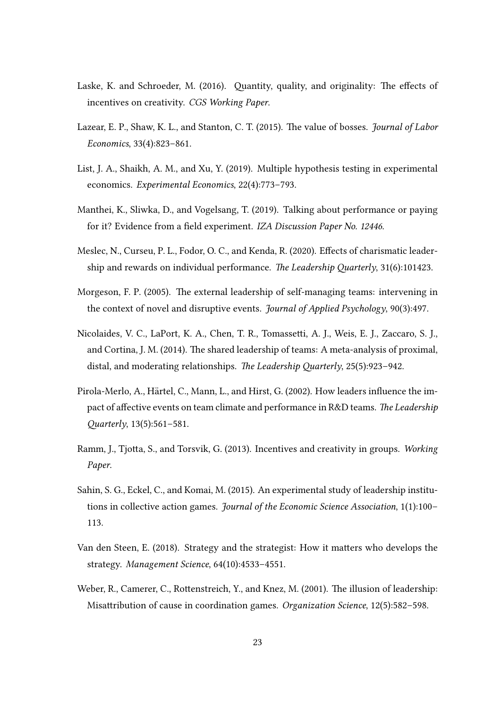- <span id="page-23-8"></span>Laske, K. and Schroeder, M. (2016). Quantity, quality, and originality: The effects of incentives on creativity. CGS Working Paper.
- <span id="page-23-4"></span>Lazear, E. P., Shaw, K. L., and Stanton, C. T. (2015). The value of bosses. *Journal of Labor* Economics, 33(4):823–861.
- <span id="page-23-9"></span>List, J. A., Shaikh, A. M., and Xu, Y. (2019). Multiple hypothesis testing in experimental economics. Experimental Economics, 22(4):773–793.
- <span id="page-23-10"></span>Manthei, K., Sliwka, D., and Vogelsang, T. (2019). Talking about performance or paying for it? Evidence from a field experiment. IZA Discussion Paper No. 12446.
- <span id="page-23-3"></span>Meslec, N., Curseu, P. L., Fodor, O. C., and Kenda, R. (2020). Effects of charismatic leadership and rewards on individual performance. The Leadership Quarterly, 31(6):101423.
- <span id="page-23-0"></span>Morgeson, F. P. (2005). The external leadership of self-managing teams: intervening in the context of novel and disruptive events. Journal of Applied Psychology, 90(3):497.
- <span id="page-23-2"></span>Nicolaides, V. C., LaPort, K. A., Chen, T. R., Tomassetti, A. J., Weis, E. J., Zaccaro, S. J., and Cortina, J. M. (2014). The shared leadership of teams: A meta-analysis of proximal, distal, and moderating relationships. The Leadership Quarterly,  $25(5):923-942$ .
- <span id="page-23-1"></span>Pirola-Merlo, A., Härtel, C., Mann, L., and Hirst, G. (2002). How leaders influence the impact of affective events on team climate and performance in R&D teams. The Leadership  $Quarterly, 13(5):561-581.$
- <span id="page-23-7"></span>Ramm, J., Tjotta, S., and Torsvik, G. (2013). Incentives and creativity in groups. Working Paper.
- <span id="page-23-6"></span>Sahin, S. G., Eckel, C., and Komai, M. (2015). An experimental study of leadership institutions in collective action games. Journal of the Economic Science Association, 1(1):100– 113.
- <span id="page-23-11"></span>Van den Steen, E. (2018). Strategy and the strategist: How it matters who develops the strategy. Management Science, 64(10):4533–4551.
- <span id="page-23-5"></span>Weber, R., Camerer, C., Rottenstreich, Y., and Knez, M. (2001). The illusion of leadership: Misattribution of cause in coordination games. Organization Science, 12(5):582-598.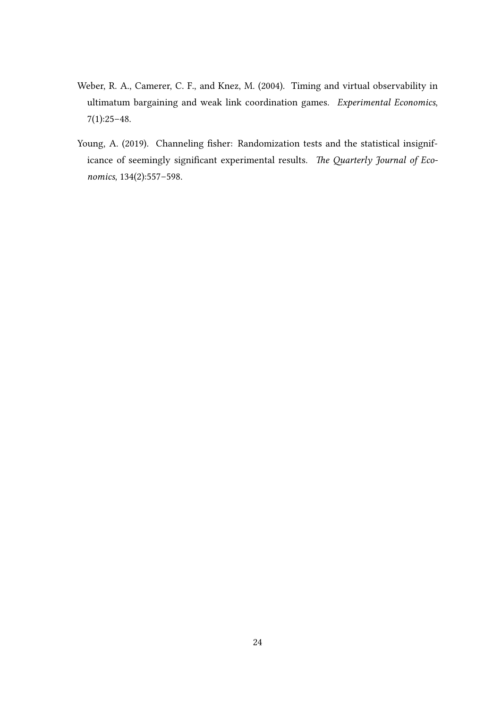- <span id="page-24-0"></span>Weber, R. A., Camerer, C. F., and Knez, M. (2004). Timing and virtual observability in ultimatum bargaining and weak link coordination games. Experimental Economics, 7(1):25–48.
- <span id="page-24-1"></span>Young, A. (2019). Channeling fisher: Randomization tests and the statistical insignificance of seemingly significant experimental results. The Quarterly Journal of Economics, 134(2):557–598.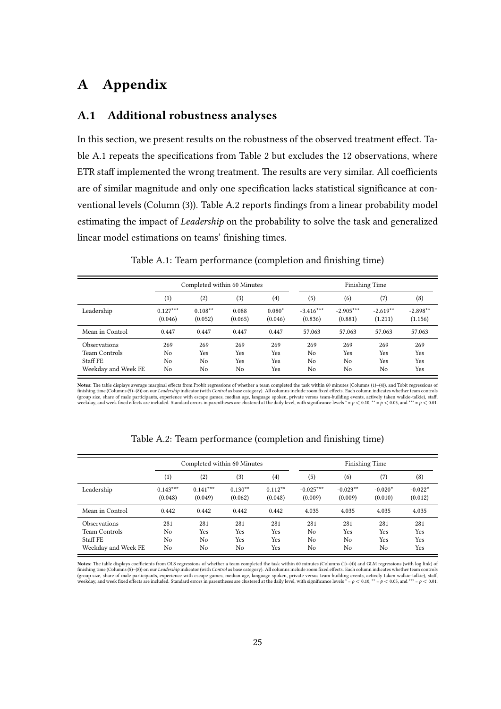# A Appendix

## A.1 Additional robustness analyses

In this section, we present results on the robustness of the observed treatment effect. Ta-ble [A.1](#page-25-0) repeats the specifications from Table [2](#page-10-0) but excludes the 12 observations, where ETR staff implemented the wrong treatment. The results are very similar. All coefficients are of similar magnitude and only one specification lacks statistical significance at con-ventional levels (Column (3)). Table [A.2](#page-25-1) reports findings from a linear probability model estimating the impact of *Leadership* on the probability to solve the task and generalized linear model estimations on teams' finishing times.

|                                                                         |                                   | Completed within 60 Minutes        |                         |                          |                                   | <b>Finishing Time</b>  |                                |                          |  |
|-------------------------------------------------------------------------|-----------------------------------|------------------------------------|-------------------------|--------------------------|-----------------------------------|------------------------|--------------------------------|--------------------------|--|
|                                                                         | (1)                               | (2)                                | (3)                     | $\left(4\right)$         | (5)                               | (6)                    | (7)                            | (8)                      |  |
| Leadership                                                              | $0.127***$<br>(0.046)             | $0.108**$<br>(0.052)               | 0.088<br>(0.065)        | $0.080*$<br>(0.046)      | $-3.416***$<br>(0.836)            | $-2.905***$<br>(0.881) | $-2.619**$<br>(1.211)          | $-2.898**$<br>(1.156)    |  |
| Mean in Control                                                         | 0.447                             | 0.447                              | 0.447                   | 0.447                    | 57.063                            | 57.063                 | 57.063                         | 57.063                   |  |
| <b>Observations</b><br>Team Controls<br>Staff FE<br>Weekday and Week FE | 269<br>N <sub>0</sub><br>No<br>No | 269<br>Yes<br>N <sub>0</sub><br>No | 269<br>Yes<br>Yes<br>No | 269<br>Yes<br>Yes<br>Yes | 269<br>No<br>No<br>N <sub>0</sub> | 269<br>Yes<br>No<br>No | 269<br><b>Yes</b><br>Yes<br>No | 269<br>Yes<br>Yes<br>Yes |  |

#### <span id="page-25-0"></span>Table A.1: Team performance (completion and finishing time)

Notes: The table displays average marginal effects from Probit regressions of whether a team completed the task within 60 minutes (Columns (1)-(4)), and Tobit regressions of finishing time (Columns (5)–(8)) on our *Leadership* indicator (with *Control* as base category). All columns include room fixed effects. Each column indicates whether team controls<br>(group size, share of male participants

|                      | Completed within 60 Minutes |            |           |                  | <b>Finishing Time</b> |            |           |           |
|----------------------|-----------------------------|------------|-----------|------------------|-----------------------|------------|-----------|-----------|
|                      | $\left(1\right)$            | (2)        | (3)       | $\left(4\right)$ | (5)                   | (6)        | (7)       | (8)       |
| Leadership           | $0.143***$                  | $0.141***$ | $0.130**$ | $0.112**$        | $-0.025***$           | $-0.023**$ | $-0.020*$ | $-0.022*$ |
|                      | (0.048)                     | (0.049)    | (0.062)   | (0.048)          | (0.009)               | (0.009)    | (0.010)   | (0.012)   |
| Mean in Control      | 0.442                       | 0.442      | 0.442     | 0.442            | 4.035                 | 4.035      | 4.035     | 4.035     |
| <b>Observations</b>  | 281                         | 281        | 281       | 281              | 281                   | 281        | 281       | 281       |
| <b>Team Controls</b> | No                          | Yes        | Yes       | Yes              | No                    | Yes        | Yes       | Yes       |
| Staff FE             | No                          | No         | Yes       | Yes              | No                    | No         | Yes       | Yes       |
| Weekday and Week FE  | No                          | No         | No        | Yes              | No                    | No         | No        | Yes       |

<span id="page-25-1"></span>

| Table A.2: Team performance (completion and finishing time) |  |  |  |
|-------------------------------------------------------------|--|--|--|
|-------------------------------------------------------------|--|--|--|

Notes: The table displays coefficients from OLS regressions of whether a team completed the task within 60 minutes (Columns (1)–(4)) and GLM regressions (with log link) of<br>finishing time (Columns (5)–(8)) on our *Leadershi* (group size, share of male participants, experience with escape games, median age, language spoken, private versus team-building events, actively taken walkie-talkie), staff, weekday, and week fixed effects are included.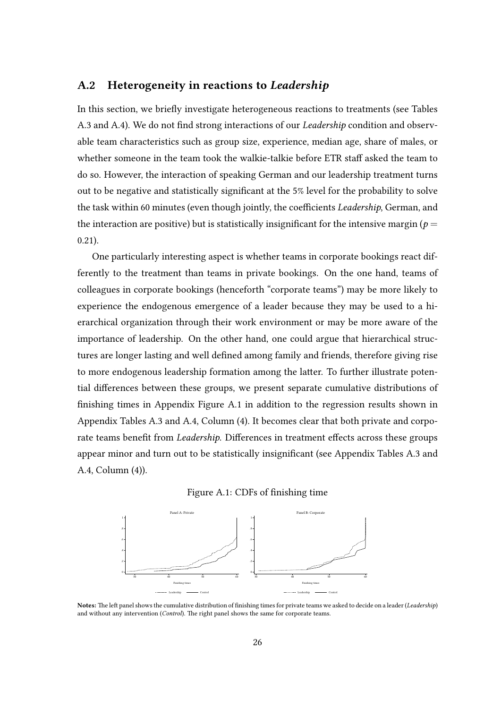## A.2 Heterogeneity in reactions to Leadership

In this section, we briefly investigate heterogeneous reactions to treatments (see Tables [A.3](#page-27-0) and [A.4\)](#page-28-0). We do not find strong interactions of our *Leadership* condition and observable team characteristics such as group size, experience, median age, share of males, or whether someone in the team took the walkie-talkie before ETR staff asked the team to do so. However, the interaction of speaking German and our leadership treatment turns out to be negative and statistically significant at the 5% level for the probability to solve the task within 60 minutes (even though jointly, the coefficients Leadership, German, and the interaction are positive) but is statistically insignificant for the intensive margin ( $p =$ 0.21).

One particularly interesting aspect is whether teams in corporate bookings react differently to the treatment than teams in private bookings. On the one hand, teams of colleagues in corporate bookings (henceforth "corporate teams") may be more likely to experience the endogenous emergence of a leader because they may be used to a hierarchical organization through their work environment or may be more aware of the importance of leadership. On the other hand, one could argue that hierarchical structures are longer lasting and well defined among family and friends, therefore giving rise to more endogenous leadership formation among the latter. To further illustrate potential differences between these groups, we present separate cumulative distributions of finishing times in Appendix Figure [A.1](#page-9-0) in addition to the regression results shown in Appendix Tables [A.3](#page-27-0) and [A.4,](#page-28-0) Column (4). It becomes clear that both private and corporate teams benefit from Leadership. Differences in treatment effects across these groups appear minor and turn out to be statistically insignificant (see Appendix Tables [A.3](#page-27-0) and [A.4,](#page-28-0) Column (4)).





Notes: The left panel shows the cumulative distribution of finishing times for private teams we asked to decide on a leader (Leadership) and without any intervention (Control). The right panel shows the same for corporate teams.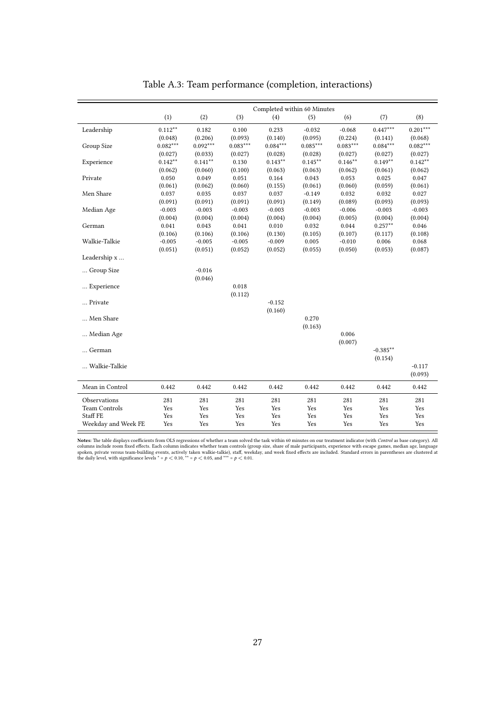|                      |                    |            |            |            | Completed within 60 Minutes |            |            |            |
|----------------------|--------------------|------------|------------|------------|-----------------------------|------------|------------|------------|
|                      | (1)                | (2)        | (3)        | (4)        | (5)                         | (6)        | (7)        | (8)        |
| Leadership           | $0.112^{\ast\ast}$ | 0.182      | 0.100      | 0.233      | $-0.032$                    | $-0.068$   | $0.447***$ | $0.201***$ |
|                      | (0.048)            | (0.206)    | (0.093)    | (0.140)    | (0.095)                     | (0.224)    | (0.141)    | (0.068)    |
| Group Size           | $0.082***$         | $0.092***$ | $0.083***$ | $0.084***$ | $0.085***$                  | $0.083***$ | $0.084***$ | $0.082***$ |
|                      | (0.027)            | (0.033)    | (0.027)    | (0.028)    | (0.028)                     | (0.027)    | (0.027)    | (0.027)    |
| Experience           | $0.142***$         | $0.141***$ | 0.130      | $0.143***$ | $0.145***$                  | $0.146***$ | $0.149**$  | $0.142***$ |
|                      | (0.062)            | (0.060)    | (0.100)    | (0.063)    | (0.063)                     | (0.062)    | (0.061)    | (0.062)    |
| Private              | 0.050              | 0.049      | 0.051      | 0.164      | 0.043                       | 0.053      | 0.025      | 0.047      |
|                      | (0.061)            | (0.062)    | (0.060)    | (0.155)    | (0.061)                     | (0.060)    | (0.059)    | (0.061)    |
| Men Share            | 0.037              | 0.035      | 0.037      | 0.037      | $-0.149$                    | 0.032      | 0.032      | 0.027      |
|                      | (0.091)            | (0.091)    | (0.091)    | (0.091)    | (0.149)                     | (0.089)    | (0.093)    | (0.093)    |
| Median Age           | $-0.003$           | $-0.003$   | $-0.003$   | $-0.003$   | $-0.003$                    | $-0.006$   | $-0.003$   | $-0.003$   |
|                      | (0.004)            | (0.004)    | (0.004)    | (0.004)    | (0.004)                     | (0.005)    | (0.004)    | (0.004)    |
| German               | 0.041              | 0.043      | 0.041      | 0.010      | 0.032                       | 0.044      | $0.257**$  | 0.046      |
|                      | (0.106)            | (0.106)    | (0.106)    | (0.130)    | (0.105)                     | (0.107)    | (0.117)    | (0.108)    |
| Walkie-Talkie        | $-0.005$           | $-0.005$   | $-0.005$   | $-0.009$   | 0.005                       | $-0.010$   | 0.006      | 0.068      |
|                      | (0.051)            | (0.051)    | (0.052)    | (0.052)    | (0.055)                     | (0.050)    | (0.053)    | (0.087)    |
| Leadership x         |                    |            |            |            |                             |            |            |            |
| Group Size           |                    | $-0.016$   |            |            |                             |            |            |            |
|                      |                    | (0.046)    |            |            |                             |            |            |            |
| Experience           |                    |            | 0.018      |            |                             |            |            |            |
|                      |                    |            | (0.112)    |            |                             |            |            |            |
| Private              |                    |            |            | $-0.152$   |                             |            |            |            |
|                      |                    |            |            | (0.160)    |                             |            |            |            |
| Men Share            |                    |            |            |            | 0.270                       |            |            |            |
|                      |                    |            |            |            | (0.163)                     |            |            |            |
| Median Age           |                    |            |            |            |                             | 0.006      |            |            |
|                      |                    |            |            |            |                             | (0.007)    |            |            |
| German               |                    |            |            |            |                             |            | $-0.385**$ |            |
|                      |                    |            |            |            |                             |            | (0.154)    |            |
| Walkie-Talkie        |                    |            |            |            |                             |            |            | $-0.117$   |
|                      |                    |            |            |            |                             |            |            | (0.093)    |
| Mean in Control      | 0.442              | 0.442      | 0.442      | 0.442      | 0.442                       | 0.442      | 0.442      | 0.442      |
| Observations         | 281                | 281        | 281        | 281        | 281                         | 281        | 281        | 281        |
| <b>Team Controls</b> | Yes                | Yes        | Yes        | Yes        | Yes                         | Yes        | Yes        | Yes        |
| <b>Staff FE</b>      | Yes                | Yes        | Yes        | Yes        | Yes                         | Yes        | Yes        | Yes        |
| Weekday and Week FE  | Yes                | Yes        | Yes        | Yes        | Yes                         | Yes        | Yes        | Yes        |

<span id="page-27-0"></span>Table A.3: Team performance (completion, interactions)

**Notes:** The table displays coefficients from OLS regressions of whether a team solved the task within 60 minutes on our treatment indicator (with *Control* as base category). All columns include room fixed effects. Each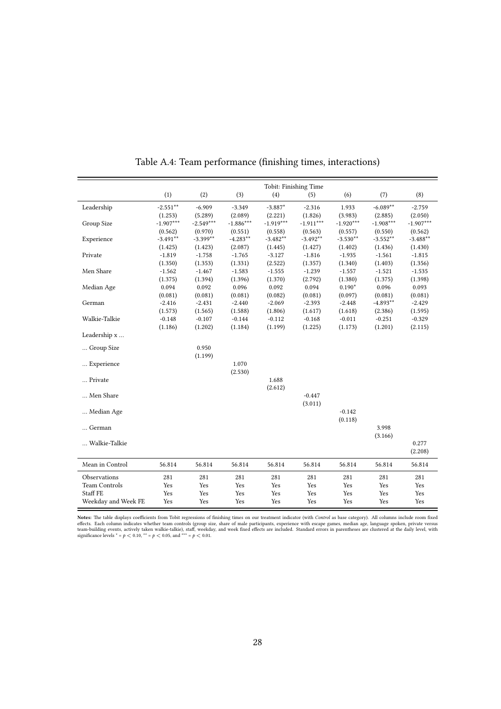|                      |             |                  |                  |             | Tobit: Finishing Time |             |             |             |
|----------------------|-------------|------------------|------------------|-------------|-----------------------|-------------|-------------|-------------|
|                      | (1)         | (2)              | (3)              | (4)         | (5)                   | (6)         | (7)         | (8)         |
| Leadership           | $-2.551**$  | $-6.909$         | $-3.349$         | $-3.887*$   | $-2.316$              | 1.933       | $-6.089**$  | $-2.759$    |
|                      | (1.253)     | (5.289)          | (2.089)          | (2.221)     | (1.826)               | (3.983)     | (2.885)     | (2.050)     |
| Group Size           | $-1.907***$ | $-2.549***$      | $-1.886***$      | $-1.919***$ | $-1.911***$           | $-1.920***$ | $-1.908***$ | $-1.907***$ |
|                      | (0.562)     | (0.970)          | (0.551)          | (0.558)     | (0.563)               | (0.557)     | (0.550)     | (0.562)     |
| Experience           | $-3.491**$  | $-3.399**$       | $-4.283**$       | $-3.482**$  | $-3.492**$            | $-3.530**$  | $-3.552**$  | $-3.488**$  |
|                      | (1.425)     | (1.423)          | (2.087)          | (1.445)     | (1.427)               | (1.402)     | (1.436)     | (1.430)     |
| Private              | $-1.819$    | $-1.758$         | $-1.765$         | $-3.127$    | $-1.816$              | $-1.935$    | $-1.561$    | $-1.815$    |
|                      | (1.350)     | (1.353)          | (1.331)          | (2.522)     | (1.357)               | (1.340)     | (1.403)     | (1.356)     |
| Men Share            | $-1.562$    | $-1.467$         | $-1.583$         | $-1.555$    | $-1.239$              | $-1.557$    | $-1.521$    | $-1.535$    |
|                      | (1.375)     | (1.394)          | (1.396)          | (1.370)     | (2.792)               | (1.380)     | (1.375)     | (1.398)     |
| Median Age           | 0.094       | 0.092            | 0.096            | 0.092       | 0.094                 | $0.190*$    | 0.096       | 0.093       |
|                      | (0.081)     | (0.081)          | (0.081)          | (0.082)     | (0.081)               | (0.097)     | (0.081)     | (0.081)     |
| German               | $-2.416$    | $-2.431$         | $-2.440$         | $-2.069$    | $-2.393$              | $-2.448$    | $-4.893**$  | $-2.429$    |
|                      | (1.573)     | (1.565)          | (1.588)          | (1.806)     | (1.617)               | (1.618)     | (2.386)     | (1.595)     |
| Walkie-Talkie        | $-0.148$    | $-0.107$         | $-0.144$         | $-0.112$    | $-0.168$              | $-0.011$    | $-0.251$    | $-0.329$    |
|                      | (1.186)     | (1.202)          | (1.184)          | (1.199)     | (1.225)               | (1.173)     | (1.201)     | (2.115)     |
| Leadership x         |             |                  |                  |             |                       |             |             |             |
| Group Size           |             | 0.950<br>(1.199) |                  |             |                       |             |             |             |
| Experience           |             |                  | 1.070<br>(2.530) |             |                       |             |             |             |
| Private              |             |                  |                  | 1.688       |                       |             |             |             |
|                      |             |                  |                  | (2.612)     |                       |             |             |             |
| Men Share            |             |                  |                  |             | $-0.447$              |             |             |             |
|                      |             |                  |                  |             | (3.011)               |             |             |             |
| Median Age           |             |                  |                  |             |                       | $-0.142$    |             |             |
|                      |             |                  |                  |             |                       | (0.118)     |             |             |
| German               |             |                  |                  |             |                       |             | 3.998       |             |
|                      |             |                  |                  |             |                       |             | (3.166)     |             |
| Walkie-Talkie        |             |                  |                  |             |                       |             |             | 0.277       |
|                      |             |                  |                  |             |                       |             |             | (2.208)     |
| Mean in Control      | 56.814      | 56.814           | 56.814           | 56.814      | 56.814                | 56.814      | 56.814      | 56.814      |
| Observations         | 281         | 281              | 281              | 281         | 281                   | 281         | 281         | 281         |
| <b>Team Controls</b> | Yes         | Yes              | Yes              | Yes         | Yes                   | Yes         | Yes         | Yes         |
| Staff FE             | Yes         | Yes              | Yes              | Yes         | Yes                   | Yes         | Yes         | Yes         |
| Weekday and Week FE  | Yes         | Yes              | Yes              | Yes         | Yes                   | Yes         | Yes         | Yes         |

<span id="page-28-0"></span>Table A.4: Team performance (finishing times, interactions)

**Notes:** The table displays coefficients from Tobit regressions of finishing times on our treatment indicator (with *Control* as base category). All columns include room fixed effects. Each column indicates whether team-b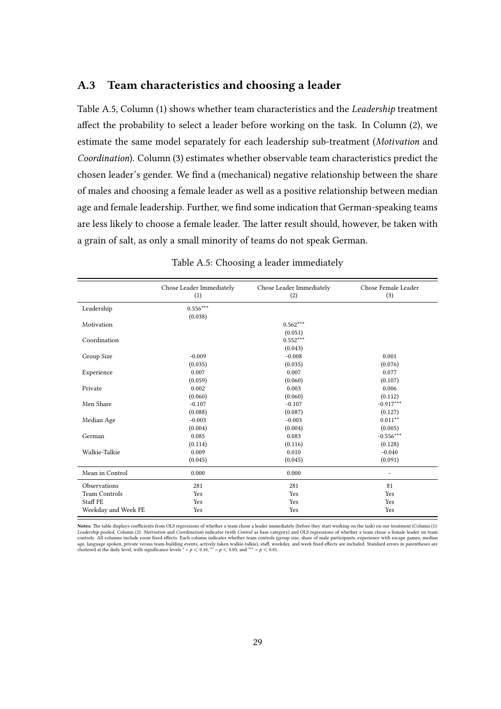### A.3 Team characteristics and choosing a leader

Table [A.5,](#page-29-0) Column (1) shows whether team characteristics and the Leadership treatment affect the probability to select a leader before working on the task. In Column (2), we estimate the same model separately for each leadership sub-treatment (Motivation and Coordination). Column (3) estimates whether observable team characteristics predict the chosen leader's gender. We find a (mechanical) negative relationship between the share of males and choosing a female leader as well as a positive relationship between median age and female leadership. Further, we find some indication that German-speaking teams are less likely to choose a female leader. The latter result should, however, be taken with a grain of salt, as only a small minority of teams do not speak German.

|                      | Chose Leader Immediately<br>(1) | Chose Leader Immediately<br>(2) | Chose Female Leader<br>(3) |
|----------------------|---------------------------------|---------------------------------|----------------------------|
| Leadership           | $0.556***$                      |                                 |                            |
| Motivation           | (0.038)                         | $0.562***$                      |                            |
| Coordination         |                                 | (0.051)<br>$0.552***$           |                            |
| Group Size           | $-0.009$                        | (0.043)<br>$-0.008$             | 0.001                      |
| Experience           | (0.035)<br>0.007                | (0.035)<br>0.007                | (0.076)<br>0.077           |
| Private              | (0.059)<br>0.002                | (0.060)<br>0.003                | (0.107)<br>0.006           |
| Men Share            | (0.060)<br>$-0.107$             | (0.060)<br>$-0.107$             | (0.112)<br>$-0.917***$     |
| Median Age           | (0.088)<br>$-0.003$             | (0.087)<br>$-0.003$             | (0.127)<br>$0.011***$      |
| German               | (0.004)<br>0.085                | (0.004)<br>0.083                | (0.005)<br>$-0.556***$     |
|                      | (0.114)                         | (0.116)                         | (0.128)                    |
| Walkie-Talkie        | 0.009<br>(0.045)                | 0.010<br>(0.045)                | $-0.040$<br>(0.091)        |
| Mean in Control      | 0.000                           | 0.000                           | -                          |
| Observations         | 281                             | 281                             | 81                         |
| <b>Team Controls</b> | Yes                             | Yes                             | Yes                        |
| Staff FE             | Yes                             | Yes                             | Yes                        |
| Weekday and Week FE  | Yes                             | Yes                             | Yes                        |

#### <span id="page-29-0"></span>Table A.5: Choosing a leader immediately

Notes: The table displays coefficients from OLS regressions of whether a team chose a leader immediately (before they start working on the task) on our treatment (Column (1): Leadership pooled, Column (2): Motivation and Coordination) indicator (with Control as base category) and OLS regressions of whether a team chose a female leader on team controls. All columns include room fixed effects. Each column indicates whether team controls (group size, share of male participants, experience with escape games, median<br>age, language spoken, private versus team-buildin